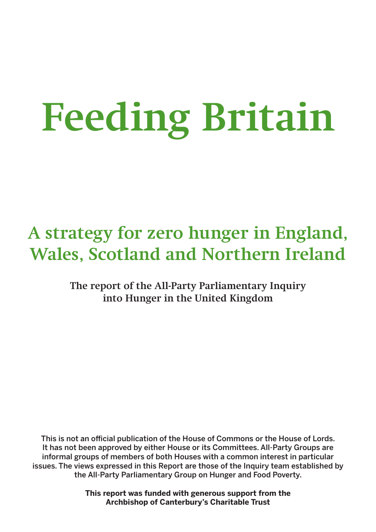# **Feeding Britain**

# **A strategy for zero hunger in England, Wales, Scotland and Northern Ireland**

**The report of the All-Party Parliamentary Inquiry into Hunger in the United Kingdom**

This is not an official publication of the House of Commons or the House of Lords. It has not been approved by either House or its Committees. All-Party Groups are informal groups of members of both Houses with a common interest in particular issues. The views expressed in this Report are those of the Inquiry team established by the All-Party Parliamentary Group on Hunger and Food Poverty.

> **This report was funded with generous support from the Archbishop of Canterbury's Charitable Trust**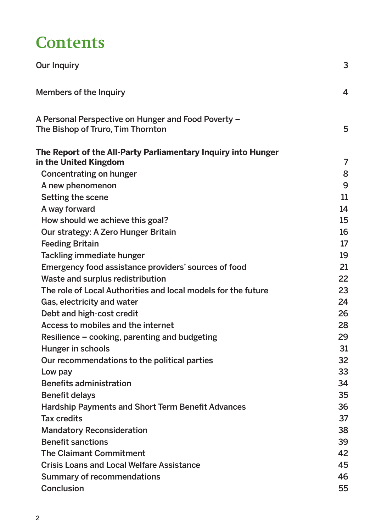# **Contents**

| <b>Our Inquiry</b>                                                                       | 3  |
|------------------------------------------------------------------------------------------|----|
| <b>Members of the Inquiry</b>                                                            | 4  |
| A Personal Perspective on Hunger and Food Poverty -<br>The Bishop of Truro, Tim Thornton | 5  |
| The Report of the All-Party Parliamentary Inquiry into Hunger<br>in the United Kingdom   | 7  |
| Concentrating on hunger                                                                  | 8  |
| A new phenomenon                                                                         | 9  |
| Setting the scene                                                                        | 11 |
| A way forward                                                                            | 14 |
| How should we achieve this goal?                                                         | 15 |
| Our strategy: A Zero Hunger Britain                                                      | 16 |
| <b>Feeding Britain</b>                                                                   | 17 |
| Tackling immediate hunger                                                                | 19 |
| Emergency food assistance providers' sources of food                                     | 21 |
| Waste and surplus redistribution                                                         | 22 |
| The role of Local Authorities and local models for the future                            | 23 |
| Gas, electricity and water                                                               | 24 |
| Debt and high-cost credit                                                                | 26 |
| Access to mobiles and the internet                                                       | 28 |
| Resilience – cooking, parenting and budgeting                                            | 29 |
| Hunger in schools                                                                        | 31 |
| Our recommendations to the political parties                                             | 32 |
| Low pay                                                                                  | 33 |
| <b>Benefits administration</b>                                                           | 34 |
| <b>Benefit delays</b>                                                                    | 35 |
| <b>Hardship Payments and Short Term Benefit Advances</b>                                 | 36 |
| <b>Tax credits</b>                                                                       | 37 |
| <b>Mandatory Reconsideration</b>                                                         | 38 |
| <b>Benefit sanctions</b>                                                                 | 39 |
| <b>The Claimant Commitment</b>                                                           | 42 |
| <b>Crisis Loans and Local Welfare Assistance</b>                                         | 45 |
| <b>Summary of recommendations</b>                                                        | 46 |
| <b>Conclusion</b>                                                                        | 55 |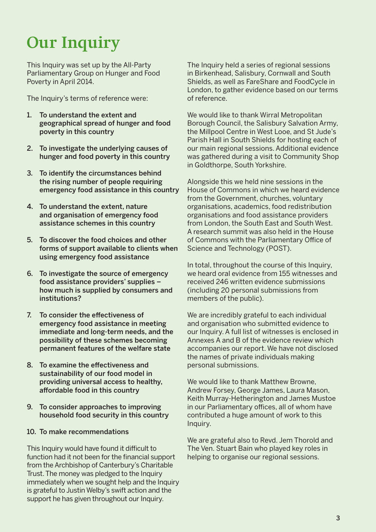# **Our Inquiry**

This Inquiry was set up by the All-Party Parliamentary Group on Hunger and Food Poverty in April 2014.

The Inquiry's terms of reference were:

- 1. To understand the extent and geographical spread of hunger and food poverty in this country
- 2. To investigate the underlying causes of hunger and food poverty in this country
- 3. To identify the circumstances behind the rising number of people requiring emergency food assistance in this country
- 4. To understand the extent, nature and organisation of emergency food assistance schemes in this country
- 5. To discover the food choices and other forms of support available to clients when using emergency food assistance
- 6. To investigate the source of emergency food assistance providers' supplies – how much is supplied by consumers and institutions?
- 7. To consider the effectiveness of emergency food assistance in meeting immediate and long-term needs, and the possibility of these schemes becoming permanent features of the welfare state
- 8. To examine the effectiveness and sustainability of our food model in providing universal access to healthy, affordable food in this country
- 9. To consider approaches to improving household food security in this country

#### 10. To make recommendations

This Inquiry would have found it difficult to function had it not been for the financial support from the Archbishop of Canterbury's Charitable Trust. The money was pledged to the Inquiry immediately when we sought help and the Inquiry is grateful to Justin Welby's swift action and the support he has given throughout our Inquiry.

The Inquiry held a series of regional sessions in Birkenhead, Salisbury, Cornwall and South Shields, as well as FareShare and FoodCycle in London, to gather evidence based on our terms of reference.

We would like to thank Wirral Metropolitan Borough Council, the Salisbury Salvation Army, the Millpool Centre in West Looe, and St Jude's Parish Hall in South Shields for hosting each of our main regional sessions. Additional evidence was gathered during a visit to Community Shop in Goldthorpe, South Yorkshire.

Alongside this we held nine sessions in the House of Commons in which we heard evidence from the Government, churches, voluntary organisations, academics, food redistribution organisations and food assistance providers from London, the South East and South West. A research summit was also held in the House of Commons with the Parliamentary Office of Science and Technology (POST).

In total, throughout the course of this Inquiry, we heard oral evidence from 155 witnesses and received 246 written evidence submissions (including 20 personal submissions from members of the public).

We are incredibly grateful to each individual and organisation who submitted evidence to our Inquiry. A full list of witnesses is enclosed in Annexes A and B of the evidence review which accompanies our report. We have not disclosed the names of private individuals making personal submissions.

We would like to thank Matthew Browne. Andrew Forsey, George James, Laura Mason, Keith Murray-Hetherington and James Mustoe in our Parliamentary offices, all of whom have contributed a huge amount of work to this Inquiry.

We are grateful also to Revd. Jem Thorold and The Ven. Stuart Bain who played key roles in helping to organise our regional sessions.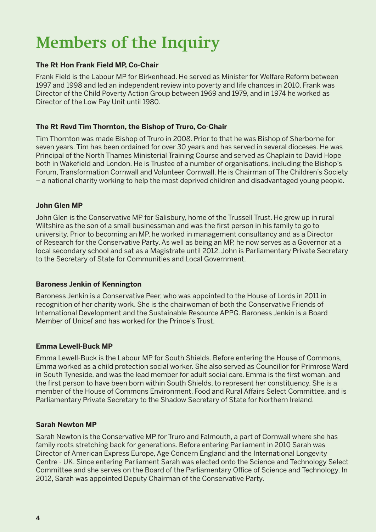# **Members of the Inquiry**

#### **The Rt Hon Frank Field MP, Co-Chair**

Frank Field is the Labour MP for Birkenhead. He served as Minister for Welfare Reform between 1997 and 1998 and led an independent review into poverty and life chances in 2010. Frank was Director of the Child Poverty Action Group between 1969 and 1979, and in 1974 he worked as Director of the Low Pay Unit until 1980.

#### **The Rt Revd Tim Thornton, the Bishop of Truro, Co-Chair**

Tim Thornton was made Bishop of Truro in 2008. Prior to that he was Bishop of Sherborne for seven years. Tim has been ordained for over 30 years and has served in several dioceses. He was Principal of the North Thames Ministerial Training Course and served as Chaplain to David Hope both in Wakefield and London. He is Trustee of a number of organisations, including the Bishop's Forum, Transformation Cornwall and Volunteer Cornwall. He is Chairman of The Children's Society – a national charity working to help the most deprived children and disadvantaged young people.

#### **John Glen MP**

John Glen is the Conservative MP for Salisbury, home of the Trussell Trust. He grew up in rural Wiltshire as the son of a small businessman and was the first person in his family to go to university. Prior to becoming an MP, he worked in management consultancy and as a Director of Research for the Conservative Party. As well as being an MP, he now serves as a Governor at a local secondary school and sat as a Magistrate until 2012. John is Parliamentary Private Secretary to the Secretary of State for Communities and Local Government.

#### **Baroness Jenkin of Kennington**

Baroness Jenkin is a Conservative Peer, who was appointed to the House of Lords in 2011 in recognition of her charity work. She is the chairwoman of both the Conservative Friends of International Development and the Sustainable Resource APPG. Baroness Jenkin is a Board Member of Unicef and has worked for the Prince's Trust.

#### **Emma Lewell-Buck MP**

Emma Lewell-Buck is the Labour MP for South Shields. Before entering the House of Commons, Emma worked as a child protection social worker. She also served as Councillor for Primrose Ward in South Tyneside, and was the lead member for adult social care. Emma is the first woman, and the first person to have been born within South Shields, to represent her constituency. She is a member of the House of Commons Environment, Food and Rural Affairs Select Committee, and is Parliamentary Private Secretary to the Shadow Secretary of State for Northern Ireland.

#### **Sarah Newton MP**

Sarah Newton is the Conservative MP for Truro and Falmouth, a part of Cornwall where she has family roots stretching back for generations. Before entering Parliament in 2010 Sarah was Director of American Express Europe, Age Concern England and the International Longevity Centre - UK. Since entering Parliament Sarah was elected onto the Science and Technology Select Committee and she serves on the Board of the Parliamentary Office of Science and Technology. In 2012, Sarah was appointed Deputy Chairman of the Conservative Party.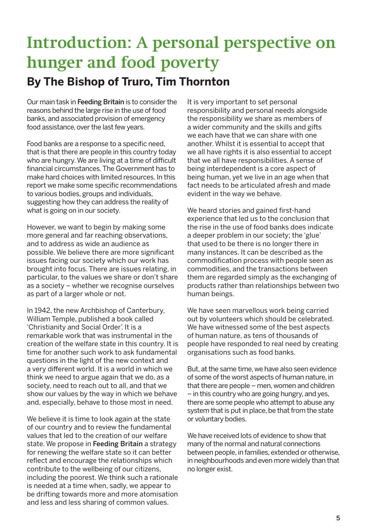# **Introduction: A personal perspective on hunger and food poverty By The Bishop of Truro, Tim Thornton**

Our main task in Feeding Britain is to consider the reasons behind the large rise in the use of food banks, and associated provision of emergency food assistance, over the last few years.

Food banks are a response to a specific need, that is that there are people in this country today who are hungry. We are living at a time of difficult financial circumstances. The Government has to make hard choices with limited resources. In this report we make some specific recommendations to various bodies, groups and individuals, suggesting how they can address the reality of what is going on in our society.

However, we want to begin by making some more general and far reaching observations, and to address as wide an audience as possible. We believe there are more significant issues facing our society which our work has brought into focus. There are issues relating, in particular, to the values we share or don't share as a society – whether we recognise ourselves as part of a larger whole or not.

In 1942, the new Archbishop of Canterbury, William Temple, published a book called 'Christianity and Social Order'. It is a remarkable work that was instrumental in the creation of the welfare state in this country. It is time for another such work to ask fundamental questions in the light of the new context and a very different world. It is a world in which we think we need to argue again that we do, as a society, need to reach out to all, and that we show our values by the way in which we behave and, especially, behave to those most in need.

We believe it is time to look again at the state of our country and to review the fundamental values that led to the creation of our welfare state. We propose in Feeding Britain a strategy for renewing the welfare state so it can better reflect and encourage the relationships which contribute to the wellbeing of our citizens, including the poorest. We think such a rationale is needed at a time when, sadly, we appear to be drifting towards more and more atomisation and less and less sharing of common values.

It is very important to set personal responsibility and personal needs alongside the responsibility we share as members of a wider community and the skills and gifts we each have that we can share with one another. Whilst it is essential to accept that we all have rights it is also essential to accept that we all have responsibilities. A sense of being interdependent is a core aspect of being human, yet we live in an age when that fact needs to be articulated afresh and made evident in the way we behave.

We heard stories and gained first-hand experience that led us to the conclusion that the rise in the use of food banks does indicate a deeper problem in our society; the 'glue' that used to be there is no longer there in many instances. It can be described as the commodification process with people seen as commodities, and the transactions between them are regarded simply as the exchanging of products rather than relationships between two human beings.

We have seen marvellous work being carried out by volunteers which should be celebrated. We have witnessed some of the best aspects of human nature, as tens of thousands of people have responded to real need by creating organisations such as food banks.

But, at the same time, we have also seen evidence of some of the worst aspects of human nature, in that there are people – men, women and children – in this country who are going hungry, and yes, there are some people who attempt to abuse any system that is put in place, be that from the state or voluntary bodies.

We have received lots of evidence to show that many of the normal and natural connections between people, in families, extended or otherwise, in neighbourhoods and even more widely than that no longer exist.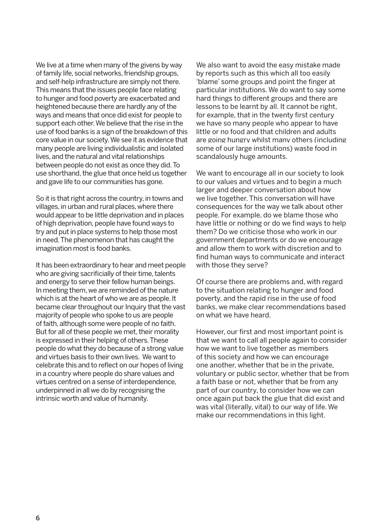We live at a time when many of the givens by way of family life, social networks, friendship groups, and self-help infrastructure are simply not there. This means that the issues people face relating to hunger and food poverty are exacerbated and heightened because there are hardly any of the ways and means that once did exist for people to support each other. We believe that the rise in the use of food banks is a sign of the breakdown of this core value in our society. We see it as evidence that many people are living individualistic and isolated lives, and the natural and vital relationships between people do not exist as once they did. To use shorthand, the glue that once held us together and gave life to our communities has gone.

So it is that right across the country, in towns and villages, in urban and rural places, where there would appear to be little deprivation and in places of high deprivation, people have found ways to try and put in place systems to help those most in need. The phenomenon that has caught the imagination most is food banks.

It has been extraordinary to hear and meet people who are giving sacrificially of their time, talents and energy to serve their fellow human beings. In meeting them, we are reminded of the nature which is at the heart of who we are as people. It became clear throughout our Inquiry that the vast majority of people who spoke to us are people of faith, although some were people of no faith. But for all of these people we met, their morality is expressed in their helping of others. These people do what they do because of a strong value and virtues basis to their own lives. We want to celebrate this and to reflect on our hopes of living in a country where people do share values and virtues centred on a sense of interdependence, underpinned in all we do by recognising the intrinsic worth and value of humanity.

We also want to avoid the easy mistake made by reports such as this which all too easily 'blame' some groups and point the finger at particular institutions. We do want to say some hard things to different groups and there are lessons to be learnt by all. It cannot be right, for example, that in the twenty first century we have so many people who appear to have little or no food and that children and adults are going hungry whilst many others (including some of our large institutions) waste food in scandalously huge amounts.

We want to encourage all in our society to look to our values and virtues and to begin a much larger and deeper conversation about how we live together. This conversation will have consequences for the way we talk about other people. For example, do we blame those who have little or nothing or do we find ways to help them? Do we criticise those who work in our government departments or do we encourage and allow them to work with discretion and to find human ways to communicate and interact with those they serve?

Of course there are problems and, with regard to the situation relating to hunger and food poverty, and the rapid rise in the use of food banks, we make clear recommendations based on what we have heard.

However, our first and most important point is that we want to call all people again to consider how we want to live together as members of this society and how we can encourage one another, whether that be in the private, voluntary or public sector, whether that be from a faith base or not, whether that be from any part of our country, to consider how we can once again put back the glue that did exist and was vital (literally, vital) to our way of life. We make our recommendations in this light.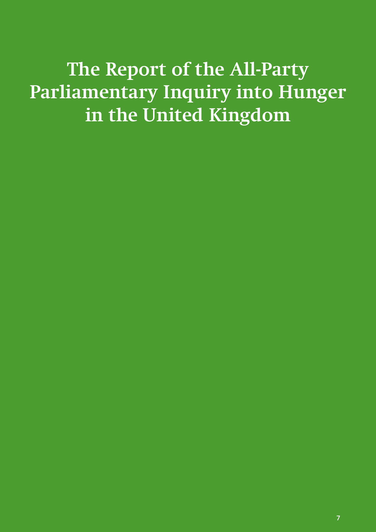**The Report of the All-Party Parliamentary Inquiry into Hunger in the United Kingdom**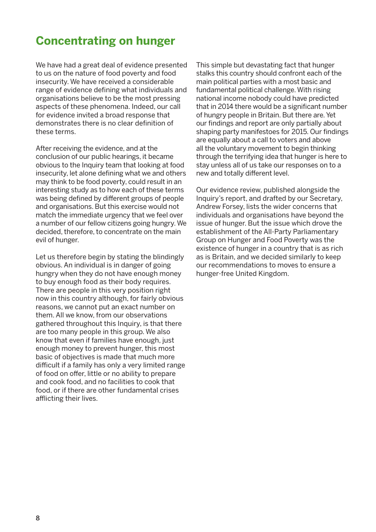### **Concentrating on hunger**

We have had a great deal of evidence presented to us on the nature of food poverty and food insecurity. We have received a considerable range of evidence defining what individuals and organisations believe to be the most pressing aspects of these phenomena. Indeed, our call for evidence invited a broad response that demonstrates there is no clear definition of these terms.

After receiving the evidence, and at the conclusion of our public hearings, it became obvious to the Inquiry team that looking at food insecurity, let alone defining what we and others may think to be food poverty, could result in an interesting study as to how each of these terms was being defined by different groups of people and organisations. But this exercise would not match the immediate urgency that we feel over a number of our fellow citizens going hungry. We decided, therefore, to concentrate on the main evil of hunger.

Let us therefore begin by stating the blindingly obvious. An individual is in danger of going hungry when they do not have enough money to buy enough food as their body requires. There are people in this very position right now in this country although, for fairly obvious reasons, we cannot put an exact number on them. All we know, from our observations gathered throughout this Inquiry, is that there are too many people in this group. We also know that even if families have enough, just enough money to prevent hunger, this most basic of objectives is made that much more difficult if a family has only a very limited range of food on offer, little or no ability to prepare and cook food, and no facilities to cook that food, or if there are other fundamental crises afflicting their lives.

This simple but devastating fact that hunger stalks this country should confront each of the main political parties with a most basic and fundamental political challenge. With rising national income nobody could have predicted that in 2014 there would be a significant number of hungry people in Britain. But there are. Yet our findings and report are only partially about shaping party manifestoes for 2015. Our findings are equally about a call to voters and above all the voluntary movement to begin thinking through the terrifying idea that hunger is here to stay unless all of us take our responses on to a new and totally different level.

Our evidence review, published alongside the Inquiry's report, and drafted by our Secretary, Andrew Forsey, lists the wider concerns that individuals and organisations have beyond the issue of hunger. But the issue which drove the establishment of the All-Party Parliamentary Group on Hunger and Food Poverty was the existence of hunger in a country that is as rich as is Britain, and we decided similarly to keep our recommendations to moves to ensure a hunger-free United Kingdom.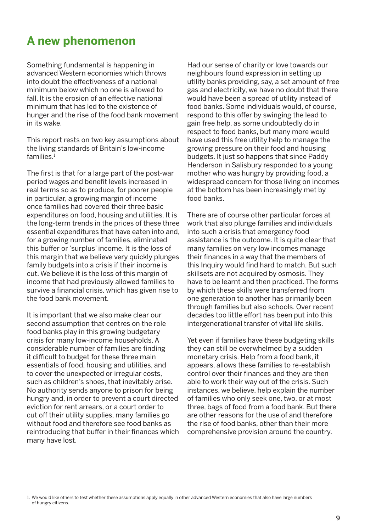### **A new phenomenon**

Something fundamental is happening in advanced Western economies which throws into doubt the effectiveness of a national minimum below which no one is allowed to fall. It is the erosion of an effective national minimum that has led to the existence of hunger and the rise of the food bank movement in its wake.

This report rests on two key assumptions about the living standards of Britain's low-income families.1

The first is that for a large part of the post-war period wages and benefit levels increased in real terms so as to produce, for poorer people in particular, a growing margin of income once families had covered their three basic expenditures on food, housing and utilities. It is the long-term trends in the prices of these three essential expenditures that have eaten into and, for a growing number of families, eliminated this buffer or 'surplus' income. It is the loss of this margin that we believe very quickly plunges family budgets into a crisis if their income is cut. We believe it is the loss of this margin of income that had previously allowed families to survive a financial crisis, which has given rise to the food bank movement.

It is important that we also make clear our second assumption that centres on the role food banks play in this growing budgetary crisis for many low-income households. A considerable number of families are finding it difficult to budget for these three main essentials of food, housing and utilities, and to cover the unexpected or irregular costs, such as children's shoes, that inevitably arise. No authority sends anyone to prison for being hungry and, in order to prevent a court directed eviction for rent arrears, or a court order to cut off their utility supplies, many families go without food and therefore see food banks as reintroducing that buffer in their finances which many have lost.

Had our sense of charity or love towards our neighbours found expression in setting up utility banks providing, say, a set amount of free gas and electricity, we have no doubt that there would have been a spread of utility instead of food banks. Some individuals would, of course, respond to this offer by swinging the lead to gain free help, as some undoubtedly do in respect to food banks, but many more would have used this free utility help to manage the growing pressure on their food and housing budgets. It just so happens that since Paddy Henderson in Salisbury responded to a young mother who was hungry by providing food, a widespread concern for those living on incomes at the bottom has been increasingly met by food banks.

There are of course other particular forces at work that also plunge families and individuals into such a crisis that emergency food assistance is the outcome. It is quite clear that many families on very low incomes manage their finances in a way that the members of this Inquiry would find hard to match. But such skillsets are not acquired by osmosis. They have to be learnt and then practiced. The forms by which these skills were transferred from one generation to another has primarily been through families but also schools. Over recent decades too little effort has been put into this intergenerational transfer of vital life skills.

Yet even if families have these budgeting skills they can still be overwhelmed by a sudden monetary crisis. Help from a food bank, it appears, allows these families to re-establish control over their finances and they are then able to work their way out of the crisis. Such instances, we believe, help explain the number of families who only seek one, two, or at most three, bags of food from a food bank. But there are other reasons for the use of and therefore the rise of food banks, other than their more comprehensive provision around the country.

<sup>1.</sup> We would like others to test whether these assumptions apply equally in other advanced Western economies that also have large numbers of hungry citizens.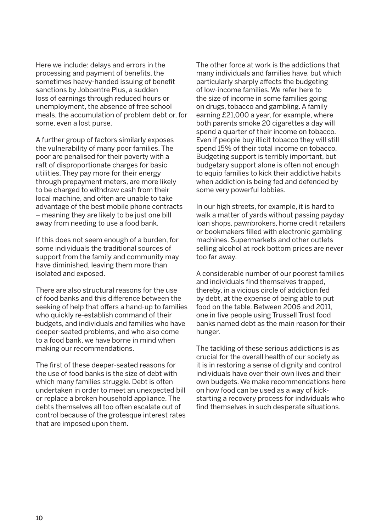Here we include: delays and errors in the processing and payment of benefits, the sometimes heavy-handed issuing of benefit sanctions by Jobcentre Plus, a sudden loss of earnings through reduced hours or unemployment, the absence of free school meals, the accumulation of problem debt or, for some, even a lost purse.

A further group of factors similarly exposes the vulnerability of many poor families. The poor are penalised for their poverty with a raft of disproportionate charges for basic utilities. They pay more for their energy through prepayment meters, are more likely to be charged to withdraw cash from their local machine, and often are unable to take advantage of the best mobile phone contracts – meaning they are likely to be just one bill away from needing to use a food bank.

If this does not seem enough of a burden, for some individuals the traditional sources of support from the family and community may have diminished, leaving them more than isolated and exposed.

There are also structural reasons for the use of food banks and this difference between the seeking of help that offers a hand-up to families who quickly re-establish command of their budgets, and individuals and families who have deeper-seated problems, and who also come to a food bank, we have borne in mind when making our recommendations.

The first of these deeper-seated reasons for the use of food banks is the size of debt with which many families struggle. Debt is often undertaken in order to meet an unexpected bill or replace a broken household appliance. The debts themselves all too often escalate out of control because of the grotesque interest rates that are imposed upon them.

The other force at work is the addictions that many individuals and families have, but which particularly sharply affects the budgeting of low-income families. We refer here to the size of income in some families going on drugs, tobacco and gambling. A family earning £21,000 a year, for example, where both parents smoke 20 cigarettes a day will spend a quarter of their income on tobacco. Even if people buy illicit tobacco they will still spend 15% of their total income on tobacco. Budgeting support is terribly important, but budgetary support alone is often not enough to equip families to kick their addictive habits when addiction is being fed and defended by some very powerful lobbies.

In our high streets, for example, it is hard to walk a matter of yards without passing payday loan shops, pawnbrokers, home credit retailers or bookmakers filled with electronic gambling machines. Supermarkets and other outlets selling alcohol at rock bottom prices are never too far away.

A considerable number of our poorest families and individuals find themselves trapped, thereby, in a vicious circle of addiction fed by debt, at the expense of being able to put food on the table. Between 2006 and 2011, one in five people using Trussell Trust food banks named debt as the main reason for their hunger.

The tackling of these serious addictions is as crucial for the overall health of our society as it is in restoring a sense of dignity and control individuals have over their own lives and their own budgets. We make recommendations here on how food can be used as a way of kickstarting a recovery process for individuals who find themselves in such desperate situations.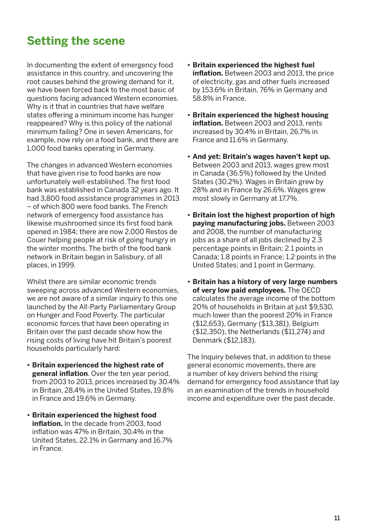### **Setting the scene**

In documenting the extent of emergency food assistance in this country, and uncovering the root causes behind the growing demand for it, we have been forced back to the most basic of questions facing advanced Western economies. Why is it that in countries that have welfare states offering a minimum income has hunger reappeared? Why is this policy of the national minimum failing? One in seven Americans, for example, now rely on a food bank, and there are 1,000 food banks operating in Germany.

The changes in advanced Western economies that have given rise to food banks are now unfortunately well-established. The first food bank was established in Canada 32 years ago. It had 3,800 food assistance programmes in 2013 – of which 800 were food banks. The French network of emergency food assistance has likewise mushroomed since its first food bank opened in 1984; there are now 2,000 Restos de Couer helping people at risk of going hungry in the winter months. The birth of the food bank network in Britain began in Salisbury, of all places, in 1999.

Whilst there are similar economic trends sweeping across advanced Western economies, we are not aware of a similar inquiry to this one launched by the All-Party Parliamentary Group on Hunger and Food Poverty. The particular economic forces that have been operating in Britain over the past decade show how the rising costs of living have hit Britain's poorest households particularly hard:

- **• Britain experienced the highest rate of general inflation**. Over the ten year period, from 2003 to 2013, prices increased by 30.4% in Britain, 28.4% in the United States, 19.8% in France and 19.6% in Germany.
- **• Britain experienced the highest food inflation.** In the decade from 2003, food inflation was 47% in Britain, 30.4% in the United States, 22.1% in Germany and 16.7% in France.
- **• Britain experienced the highest fuel inflation.** Between 2003 and 2013, the price of electricity, gas and other fuels increased by 153.6% in Britain, 76% in Germany and 58.8% in France.
- **• Britain experienced the highest housing inflation.** Between 2003 and 2013, rents increased by 30.4% in Britain, 26.7% in France and 11.6% in Germany.
- **• And yet: Britain's wages haven't kept up.** Between 2003 and 2013, wages grew most in Canada (36.5%) followed by the United States (30.2%). Wages in Britain grew by 28% and in France by 26.6%. Wages grew most slowly in Germany at 17.7%.
- **• Britain lost the highest proportion of high paying manufacturing jobs.** Between 2003 and 2008, the number of manufacturing jobs as a share of all jobs declined by 2.3 percentage points in Britain; 2.1 points in Canada; 1.8 points in France; 1.2 points in the United States; and 1 point in Germany.
- **• Britain has a history of very large numbers of very low paid employees.** The OECD calculates the average income of the bottom 20% of households in Britain at just \$9,530, much lower than the poorest 20% in France (\$12,653), Germany (\$13,381), Belgium (\$12,350), the Netherlands (\$11,274) and Denmark (\$12,183).

The Inquiry believes that, in addition to these general economic movements, there are a number of key drivers behind the rising demand for emergency food assistance that lay in an examination of the trends in household income and expenditure over the past decade.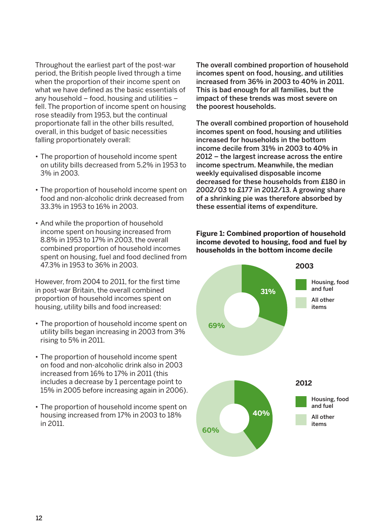Throughout the earliest part of the post-war period, the British people lived through a time when the proportion of their income spent on what we have defined as the basic essentials of any household – food, housing and utilities – fell. The proportion of income spent on housing rose steadily from 1953, but the continual proportionate fall in the other bills resulted, overall, in this budget of basic necessities falling proportionately overall:

- The proportion of household income spent on utility bills decreased from 5.2% in 1953 to 3% in 2003.
- The proportion of household income spent on food and non-alcoholic drink decreased from 33.3% in 1953 to 16% in 2003.
- And while the proportion of household income spent on housing increased from 8.8% in 1953 to 17% in 2003, the overall combined proportion of household incomes spent on housing, fuel and food declined from 47.3% in 1953 to 36% in 2003.

However, from 2004 to 2011, for the first time in post-war Britain, the overall combined proportion of household incomes spent on housing, utility bills and food increased:

- The proportion of household income spent on utility bills began increasing in 2003 from 3% rising to 5% in 2011.
- The proportion of household income spent on food and non-alcoholic drink also in 2003 increased from 16% to 17% in 2011 (this includes a decrease by 1 percentage point to 15% in 2005 before increasing again in 2006).
- The proportion of household income spent on housing increased from 17% in 2003 to 18% in 2011.

The overall combined proportion of household incomes spent on food, housing, and utilities increased from 36% in 2003 to 40% in 2011. This is bad enough for all families, but the impact of these trends was most severe on the poorest households.

The overall combined proportion of household incomes spent on food, housing and utilities increased for households in the bottom income decile from 31% in 2003 to 40% in 2012 – the largest increase across the entire income spectrum. Meanwhile, the median weekly equivalised disposable income decreased for these households from £180 in 2002/03 to £177 in 2012/13. A growing share of a shrinking pie was therefore absorbed by these essential items of expenditure.

#### **Figure 1: Combined proportion of household income devoted to housing, food and fuel by households in the bottom income decile**

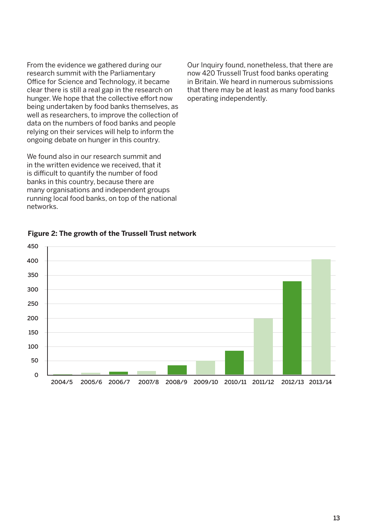From the evidence we gathered during our research summit with the Parliamentary Office for Science and Technology, it became clear there is still a real gap in the research on hunger. We hope that the collective effort now being undertaken by food banks themselves, as well as researchers, to improve the collection of data on the numbers of food banks and people relying on their services will help to inform the ongoing debate on hunger in this country.

We found also in our research summit and in the written evidence we received, that it is difficult to quantify the number of food banks in this country, because there are many organisations and independent groups running local food banks, on top of the national networks.

Our Inquiry found, nonetheless, that there are now 420 Trussell Trust food banks operating in Britain. We heard in numerous submissions that there may be at least as many food banks operating independently.



#### **Figure 2: The growth of the Trussell Trust network**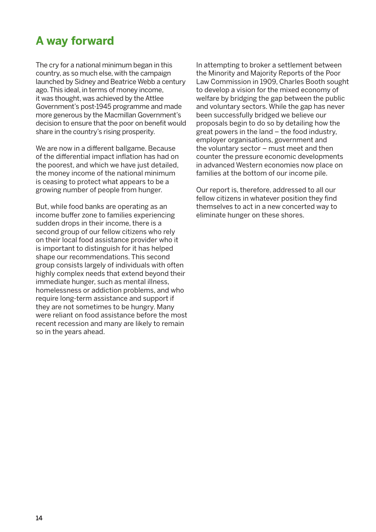### **A way forward**

The cry for a national minimum began in this country, as so much else, with the campaign launched by Sidney and Beatrice Webb a century ago. This ideal, in terms of money income, it was thought, was achieved by the Attlee Government's post-1945 programme and made more generous by the Macmillan Government's decision to ensure that the poor on benefit would share in the country's rising prosperity.

We are now in a different ballgame. Because of the differential impact inflation has had on the poorest, and which we have just detailed, the money income of the national minimum is ceasing to protect what appears to be a growing number of people from hunger.

But, while food banks are operating as an income buffer zone to families experiencing sudden drops in their income, there is a second group of our fellow citizens who rely on their local food assistance provider who it is important to distinguish for it has helped shape our recommendations. This second group consists largely of individuals with often highly complex needs that extend beyond their immediate hunger, such as mental illness, homelessness or addiction problems, and who require long-term assistance and support if they are not sometimes to be hungry. Many were reliant on food assistance before the most recent recession and many are likely to remain so in the years ahead.

In attempting to broker a settlement between the Minority and Majority Reports of the Poor Law Commission in 1909, Charles Booth sought to develop a vision for the mixed economy of welfare by bridging the gap between the public and voluntary sectors. While the gap has never been successfully bridged we believe our proposals begin to do so by detailing how the great powers in the land – the food industry, employer organisations, government and the voluntary sector – must meet and then counter the pressure economic developments in advanced Western economies now place on families at the bottom of our income pile.

Our report is, therefore, addressed to all our fellow citizens in whatever position they find themselves to act in a new concerted way to eliminate hunger on these shores.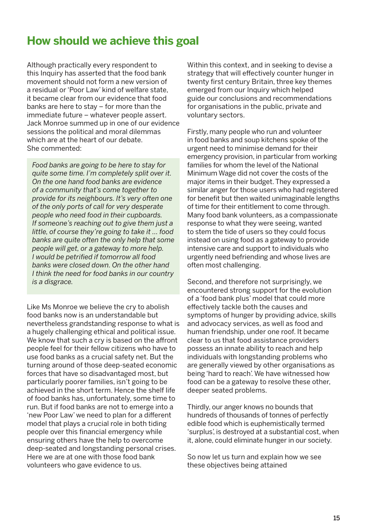### **How should we achieve this goal**

Although practically every respondent to this Inquiry has asserted that the food bank movement should not form a new version of a residual or 'Poor Law' kind of welfare state, it became clear from our evidence that food banks are here to stay – for more than the immediate future – whatever people assert. Jack Monroe summed up in one of our evidence sessions the political and moral dilemmas which are at the heart of our debate. She commented:

*Food banks are going to be here to stay for quite some time. I'm completely split over it. On the one hand food banks are evidence of a community that's come together to provide for its neighbours. It's very often one of the only ports of call for very desperate people who need food in their cupboards. If someone's reaching out to give them just a little, of course they're going to take it … food banks are quite often the only help that some people will get, or a gateway to more help. I would be petrified if tomorrow all food banks were closed down. On the other hand I think the need for food banks in our country is a disgrace.*

Like Ms Monroe we believe the cry to abolish food banks now is an understandable but nevertheless grandstanding response to what is a hugely challenging ethical and political issue. We know that such a cry is based on the affront people feel for their fellow citizens who have to use food banks as a crucial safety net. But the turning around of those deep-seated economic forces that have so disadvantaged most, but particularly poorer families, isn't going to be achieved in the short term. Hence the shelf life of food banks has, unfortunately, some time to run. But if food banks are not to emerge into a 'new Poor Law' we need to plan for a different model that plays a crucial role in both tiding people over this financial emergency while ensuring others have the help to overcome deep-seated and longstanding personal crises. Here we are at one with those food bank volunteers who gave evidence to us.

Within this context, and in seeking to devise a strategy that will effectively counter hunger in twenty first century Britain, three key themes emerged from our Inquiry which helped guide our conclusions and recommendations for organisations in the public, private and voluntary sectors.

Firstly, many people who run and volunteer in food banks and soup kitchens spoke of the urgent need to minimise demand for their emergency provision, in particular from working families for whom the level of the National Minimum Wage did not cover the costs of the major items in their budget. They expressed a similar anger for those users who had registered for benefit but then waited unimaginable lengths of time for their entitlement to come through. Many food bank volunteers, as a compassionate response to what they were seeing, wanted to stem the tide of users so they could focus instead on using food as a gateway to provide intensive care and support to individuals who urgently need befriending and whose lives are often most challenging.

Second, and therefore not surprisingly, we encountered strong support for the evolution of a 'food bank plus' model that could more effectively tackle both the causes and symptoms of hunger by providing advice, skills and advocacy services, as well as food and human friendship, under one roof. It became clear to us that food assistance providers possess an innate ability to reach and help individuals with longstanding problems who are generally viewed by other organisations as being 'hard to reach'. We have witnessed how food can be a gateway to resolve these other, deeper seated problems.

Thirdly, our anger knows no bounds that hundreds of thousands of tonnes of perfectly edible food which is euphemistically termed 'surplus', is destroyed at a substantial cost, when it, alone, could eliminate hunger in our society.

So now let us turn and explain how we see these objectives being attained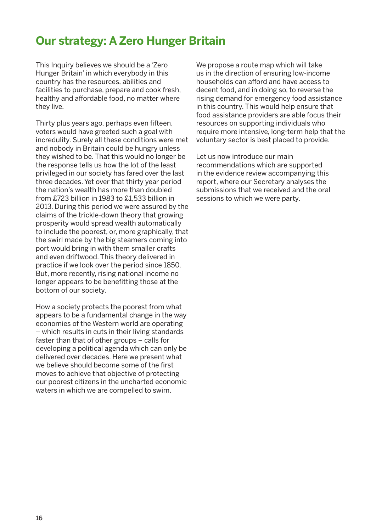### **Our strategy: A Zero Hunger Britain**

This Inquiry believes we should be a 'Zero Hunger Britain' in which everybody in this country has the resources, abilities and facilities to purchase, prepare and cook fresh, healthy and affordable food, no matter where they live.

Thirty plus years ago, perhaps even fifteen, voters would have greeted such a goal with incredulity. Surely all these conditions were met and nobody in Britain could be hungry unless they wished to be. That this would no longer be the response tells us how the lot of the least privileged in our society has fared over the last three decades. Yet over that thirty year period the nation's wealth has more than doubled from £723 billion in 1983 to £1,533 billion in 2013. During this period we were assured by the claims of the trickle-down theory that growing prosperity would spread wealth automatically to include the poorest, or, more graphically, that the swirl made by the big steamers coming into port would bring in with them smaller crafts and even driftwood. This theory delivered in practice if we look over the period since 1850. But, more recently, rising national income no longer appears to be benefitting those at the bottom of our society.

How a society protects the poorest from what appears to be a fundamental change in the way economies of the Western world are operating – which results in cuts in their living standards faster than that of other groups – calls for developing a political agenda which can only be delivered over decades. Here we present what we believe should become some of the first moves to achieve that objective of protecting our poorest citizens in the uncharted economic waters in which we are compelled to swim.

We propose a route map which will take us in the direction of ensuring low-income households can afford and have access to decent food, and in doing so, to reverse the rising demand for emergency food assistance in this country. This would help ensure that food assistance providers are able focus their resources on supporting individuals who require more intensive, long-term help that the voluntary sector is best placed to provide.

Let us now introduce our main recommendations which are supported in the evidence review accompanying this report, where our Secretary analyses the submissions that we received and the oral sessions to which we were party.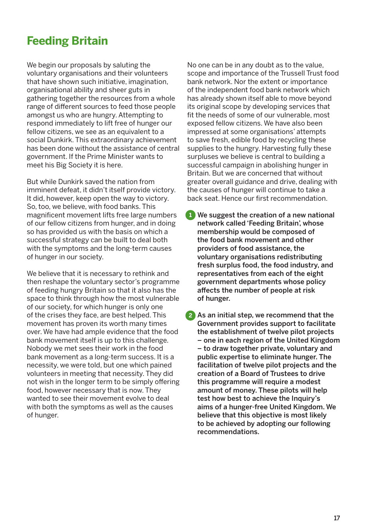### **Feeding Britain**

We begin our proposals by saluting the voluntary organisations and their volunteers that have shown such initiative, imagination, organisational ability and sheer guts in gathering together the resources from a whole range of different sources to feed those people amongst us who are hungry. Attempting to respond immediately to lift free of hunger our fellow citizens, we see as an equivalent to a social Dunkirk. This extraordinary achievement has been done without the assistance of central government. If the Prime Minister wants to meet his Big Society it is here.

But while Dunkirk saved the nation from imminent defeat, it didn't itself provide victory. It did, however, keep open the way to victory. So, too, we believe, with food banks. This magnificent movement lifts free large numbers of our fellow citizens from hunger, and in doing so has provided us with the basis on which a successful strategy can be built to deal both with the symptoms and the long-term causes of hunger in our society.

We believe that it is necessary to rethink and then reshape the voluntary sector's programme of feeding hungry Britain so that it also has the space to think through how the most vulnerable of our society, for which hunger is only one of the crises they face, are best helped. This movement has proven its worth many times over. We have had ample evidence that the food bank movement itself is up to this challenge. Nobody we met sees their work in the food bank movement as a long-term success. It is a necessity, we were told, but one which pained volunteers in meeting that necessity. They did not wish in the longer term to be simply offering food, however necessary that is now. They wanted to see their movement evolve to deal with both the symptoms as well as the causes of hunger.

No one can be in any doubt as to the value, scope and importance of the Trussell Trust food bank network. Nor the extent or importance of the independent food bank network which has already shown itself able to move beyond its original scope by developing services that fit the needs of some of our vulnerable, most exposed fellow citizens. We have also been impressed at some organisations' attempts to save fresh, edible food by recycling these supplies to the hungry. Harvesting fully these surpluses we believe is central to building a successful campaign in abolishing hunger in Britain. But we are concerned that without greater overall guidance and drive, dealing with the causes of hunger will continue to take a back seat. Hence our first recommendation.

1. We suggest the creation of a new national **1** network called 'Feeding Britain', whose membership would be composed of the food bank movement and other providers of food assistance, the voluntary organisations redistributing fresh surplus food, the food industry, and representatives from each of the eight government departments whose policy affects the number of people at risk of hunger.

2 As an initial step, we recommend that the Government provides support to facilitate the establishment of twelve pilot projects – one in each region of the United Kingdom – to draw together private, voluntary and public expertise to eliminate hunger. The facilitation of twelve pilot projects and the creation of a Board of Trustees to drive this programme will require a modest amount of money. These pilots will help test how best to achieve the Inquiry's aims of a hunger-free United Kingdom. We believe that this objective is most likely to be achieved by adopting our following recommendations.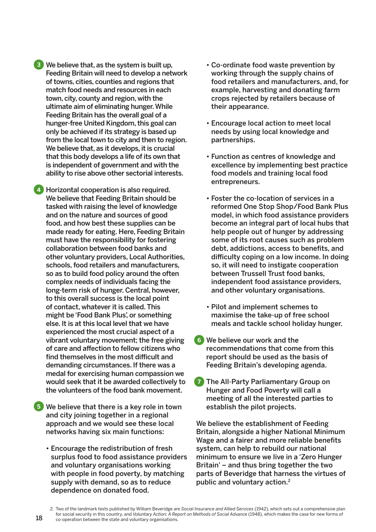3. We believe that, as the system is built up, **3** Feeding Britain will need to develop a network of towns, cities, counties and regions that match food needs and resources in each town, city, county and region, with the ultimate aim of eliminating hunger. While Feeding Britain has the overall goal of a hunger-free United Kingdom, this goal can only be achieved if its strategy is based up from the local town to city and then to region. We believe that, as it develops, it is crucial that this body develops a life of its own that is independent of government and with the ability to rise above other sectorial interests.

4 Horizontal cooperation is also required. We believe that Feeding Britain should be tasked with raising the level of knowledge and on the nature and sources of good food, and how best these supplies can be made ready for eating. Here, Feeding Britain must have the responsibility for fostering collaboration between food banks and other voluntary providers, Local Authorities, schools, food retailers and manufacturers, so as to build food policy around the often complex needs of individuals facing the long-term risk of hunger. Central, however, to this overall success is the local point of contact, whatever it is called. This might be 'Food Bank Plus', or something else. It is at this local level that we have experienced the most crucial aspect of a vibrant voluntary movement; the free giving of care and affection to fellow citizens who find themselves in the most difficult and demanding circumstances. If there was a medal for exercising human compassion we would seek that it be awarded collectively to the volunteers of the food bank movement.

 We believe that there is a key role in town **5** and city joining together in a regional approach and we would see these local networks having six main functions:

• Encourage the redistribution of fresh surplus food to food assistance providers and voluntary organisations working with people in food poverty, by matching supply with demand, so as to reduce dependence on donated food.

- Co-ordinate food waste prevention by working through the supply chains of food retailers and manufacturers, and, for example, harvesting and donating farm crops rejected by retailers because of their appearance.
- Encourage local action to meet local needs by using local knowledge and partnerships.
- Function as centres of knowledge and excellence by implementing best practice food models and training local food entrepreneurs.
- Foster the co-location of services in a reformed One Stop Shop/Food Bank Plus model, in which food assistance providers become an integral part of local hubs that help people out of hunger by addressing some of its root causes such as problem debt, addictions, access to benefits, and difficulty coping on a low income. In doing so, it will need to instigate cooperation between Trussell Trust food banks, independent food assistance providers, and other voluntary organisations.
- Pilot and implement schemes to maximise the take-up of free school meals and tackle school holiday hunger.
- 6. We believe our work and the **6** recommendations that come from this report should be used as the basis of Feeding Britain's developing agenda.
- The All-Party Parliamentary Group on Hunger and Food Poverty will call a meeting of all the interested parties to establish the pilot projects. **7**

We believe the establishment of Feeding Britain, alongside a higher National Minimum Wage and a fairer and more reliable benefits system, can help to rebuild our national minimum to ensure we live in a 'Zero Hunger Britain' – and thus bring together the two parts of Beveridge that harness the virtues of public and voluntary action.2

<sup>2.</sup> Two of the landmark texts published by William Beveridge are *Social Insurance and Allied Services* (1942), which sets out a comprehensive plan for social security in this country, and *Voluntary Action: A Report on Methods of Social Advance* (1948), which makes the case for new forms of co-operation between the state and voluntary organisations.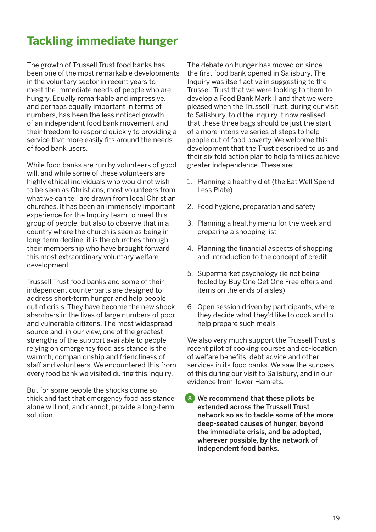### **Tackling immediate hunger**

The growth of Trussell Trust food banks has been one of the most remarkable developments in the voluntary sector in recent years to meet the immediate needs of people who are hungry. Equally remarkable and impressive, and perhaps equally important in terms of numbers, has been the less noticed growth of an independent food bank movement and their freedom to respond quickly to providing a service that more easily fits around the needs of food bank users.

While food banks are run by volunteers of good will, and while some of these volunteers are highly ethical individuals who would not wish to be seen as Christians, most volunteers from what we can tell are drawn from local Christian churches. It has been an immensely important experience for the Inquiry team to meet this group of people, but also to observe that in a country where the church is seen as being in long-term decline, it is the churches through their membership who have brought forward this most extraordinary voluntary welfare development.

Trussell Trust food banks and some of their independent counterparts are designed to address short-term hunger and help people out of crisis. They have become the new shock absorbers in the lives of large numbers of poor and vulnerable citizens. The most widespread source and, in our view, one of the greatest strengths of the support available to people relying on emergency food assistance is the warmth, companionship and friendliness of staff and volunteers. We encountered this from every food bank we visited during this Inquiry.

But for some people the shocks come so thick and fast that emergency food assistance alone will not, and cannot, provide a long-term solution.

The debate on hunger has moved on since the first food bank opened in Salisbury. The Inquiry was itself active in suggesting to the Trussell Trust that we were looking to them to develop a Food Bank Mark II and that we were pleased when the Trussell Trust, during our visit to Salisbury, told the Inquiry it now realised that these three bags should be just the start of a more intensive series of steps to help people out of food poverty. We welcome this development that the Trust described to us and their six fold action plan to help families achieve greater independence. These are:

- 1. Planning a healthy diet (the Eat Well Spend Less Plate)
- 2. Food hygiene, preparation and safety
- 3. Planning a healthy menu for the week and preparing a shopping list
- 4. Planning the financial aspects of shopping and introduction to the concept of credit
- 5. Supermarket psychology (ie not being fooled by Buy One Get One Free offers and items on the ends of aisles)
- 6. Open session driven by participants, where they decide what they'd like to cook and to help prepare such meals

We also very much support the Trussell Trust's recent pilot of cooking courses and co-location of welfare benefits, debt advice and other services in its food banks. We saw the success of this during our visit to Salisbury, and in our evidence from Tower Hamlets.

We recommend that these pilots be extended across the Trussell Trust network so as to tackle some of the more deep-seated causes of hunger, beyond the immediate crisis, and be adopted, wherever possible, by the network of independent food banks. **8**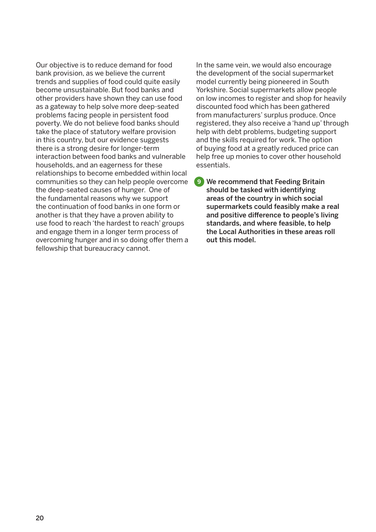Our objective is to reduce demand for food bank provision, as we believe the current trends and supplies of food could quite easily become unsustainable. But food banks and other providers have shown they can use food as a gateway to help solve more deep-seated problems facing people in persistent food poverty. We do not believe food banks should take the place of statutory welfare provision in this country, but our evidence suggests there is a strong desire for longer-term interaction between food banks and vulnerable households, and an eagerness for these relationships to become embedded within local communities so they can help people overcome the deep-seated causes of hunger. One of the fundamental reasons why we support the continuation of food banks in one form or another is that they have a proven ability to use food to reach 'the hardest to reach' groups and engage them in a longer term process of overcoming hunger and in so doing offer them a fellowship that bureaucracy cannot.

In the same vein, we would also encourage the development of the social supermarket model currently being pioneered in South Yorkshire. Social supermarkets allow people on low incomes to register and shop for heavily discounted food which has been gathered from manufacturers' surplus produce. Once registered, they also receive a 'hand up' through help with debt problems, budgeting support and the skills required for work. The option of buying food at a greatly reduced price can help free up monies to cover other household essentials.

9. We recommend that Feeding Britain **9**should be tasked with identifying areas of the country in which social supermarkets could feasibly make a real and positive difference to people's living standards, and where feasible, to help the Local Authorities in these areas roll out this model.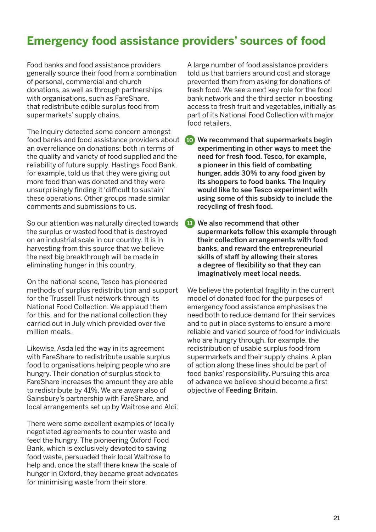### **Emergency food assistance providers' sources of food**

Food banks and food assistance providers generally source their food from a combination of personal, commercial and church donations, as well as through partnerships with organisations, such as FareShare, that redistribute edible surplus food from supermarkets' supply chains.

The Inquiry detected some concern amongst food banks and food assistance providers about an overreliance on donations; both in terms of the quality and variety of food supplied and the reliability of future supply. Hastings Food Bank, for example, told us that they were giving out more food than was donated and they were unsurprisingly finding it 'difficult to sustain' these operations. Other groups made similar comments and submissions to us.

So our attention was naturally directed towards the surplus or wasted food that is destroyed on an industrial scale in our country. It is in harvesting from this source that we believe the next big breakthrough will be made in eliminating hunger in this country.

On the national scene, Tesco has pioneered methods of surplus redistribution and support for the Trussell Trust network through its National Food Collection. We applaud them for this, and for the national collection they carried out in July which provided over five million meals.

Likewise, Asda led the way in its agreement with FareShare to redistribute usable surplus food to organisations helping people who are hungry. Their donation of surplus stock to FareShare increases the amount they are able to redistribute by 41%. We are aware also of Sainsbury's partnership with FareShare, and local arrangements set up by Waitrose and Aldi.

There were some excellent examples of locally negotiated agreements to counter waste and feed the hungry. The pioneering Oxford Food Bank, which is exclusively devoted to saving food waste, persuaded their local Waitrose to help and, once the staff there knew the scale of hunger in Oxford, they became great advocates for minimising waste from their store.

A large number of food assistance providers told us that barriers around cost and storage prevented them from asking for donations of fresh food. We see a next key role for the food bank network and the third sector in boosting access to fresh fruit and vegetables, initially as part of its National Food Collection with major food retailers.

 We recommend that supermarkets begin **10** experimenting in other ways to meet the need for fresh food. Tesco, for example, a pioneer in this field of combating hunger, adds 30% to any food given by its shoppers to food banks. The Inquiry would like to see Tesco experiment with using some of this subsidy to include the recycling of fresh food.

**11** We also recommend that other supermarkets follow this example through their collection arrangements with food banks, and reward the entrepreneurial skills of staff by allowing their stores a degree of flexibility so that they can imaginatively meet local needs.

We believe the potential fragility in the current model of donated food for the purposes of emergency food assistance emphasises the need both to reduce demand for their services and to put in place systems to ensure a more reliable and varied source of food for individuals who are hungry through, for example, the redistribution of usable surplus food from supermarkets and their supply chains. A plan of action along these lines should be part of food banks' responsibility. Pursuing this area of advance we believe should become a first objective of Feeding Britain.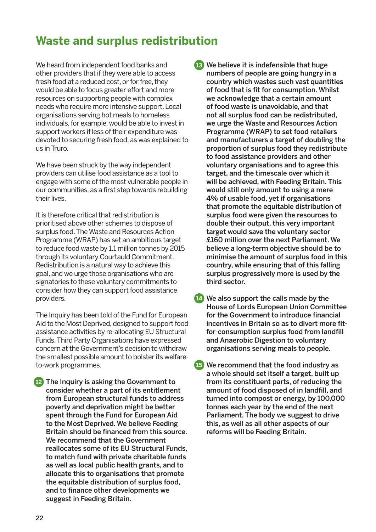### **Waste and surplus redistribution**

We heard from independent food banks and other providers that if they were able to access fresh food at a reduced cost, or for free, they would be able to focus greater effort and more resources on supporting people with complex needs who require more intensive support. Local organisations serving hot meals to homeless individuals, for example, would be able to invest in support workers if less of their expenditure was devoted to securing fresh food, as was explained to us in Truro.

We have been struck by the way independent providers can utilise food assistance as a tool to engage with some of the most vulnerable people in our communities, as a first step towards rebuilding their lives.

It is therefore critical that redistribution is prioritised above other schemes to dispose of surplus food. The Waste and Resources Action Programme (WRAP) has set an ambitious target to reduce food waste by 1.1 million tonnes by 2015 through its voluntary Courtauld Commitment. Redistribution is a natural way to achieve this goal, and we urge those organisations who are signatories to these voluntary commitments to consider how they can support food assistance providers.

The Inquiry has been told of the Fund for European Aid to the Most Deprived, designed to support food assistance activities by re-allocating EU Structural Funds. Third Party Organisations have expressed concern at the Government's decision to withdraw the smallest possible amount to bolster its welfareto-work programmes.

**12** The Inquiry is asking the Government to consider whether a part of its entitlement from European structural funds to address poverty and deprivation might be better spent through the Fund for European Aid to the Most Deprived. We believe Feeding Britain should be financed from this source. We recommend that the Government reallocates some of its EU Structural Funds, to match fund with private charitable funds as well as local public health grants, and to allocate this to organisations that promote the equitable distribution of surplus food, and to finance other developments we suggest in Feeding Britain.

**13** We believe it is indefensible that huge numbers of people are going hungry in a country which wastes such vast quantities of food that is fit for consumption. Whilst we acknowledge that a certain amount of food waste is unavoidable, and that not all surplus food can be redistributed, we urge the Waste and Resources Action Programme (WRAP) to set food retailers and manufacturers a target of doubling the proportion of surplus food they redistribute to food assistance providers and other voluntary organisations and to agree this target, and the timescale over which it will be achieved, with Feeding Britain. This would still only amount to using a mere 4% of usable food, yet if organisations that promote the equitable distribution of surplus food were given the resources to double their output, this very important target would save the voluntary sector £160 million over the next Parliament. We believe a long-term objective should be to minimise the amount of surplus food in this country, while ensuring that of this falling surplus progressively more is used by the third sector.

**14** We also support the calls made by the House of Lords European Union Committee for the Government to introduce financial incentives in Britain so as to divert more fitfor-consumption surplus food from landfill and Anaerobic Digestion to voluntary organisations serving meals to people.

 We recommend that the food industry as **15**a whole should set itself a target, built up from its constituent parts, of reducing the amount of food disposed of in landfill, and turned into compost or energy, by 100,000 tonnes each year by the end of the next Parliament. The body we suggest to drive this, as well as all other aspects of our reforms will be Feeding Britain.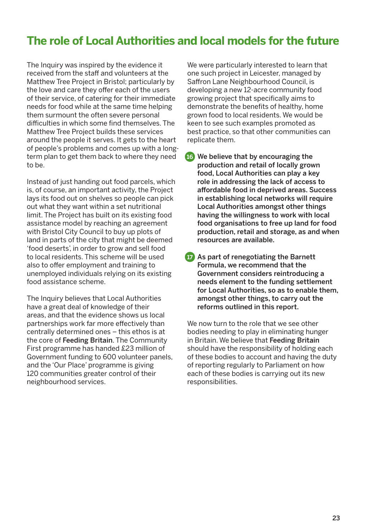### **The role of Local Authorities and local models for the future**

The Inquiry was inspired by the evidence it received from the staff and volunteers at the Matthew Tree Project in Bristol; particularly by the love and care they offer each of the users of their service, of catering for their immediate needs for food while at the same time helping them surmount the often severe personal difficulties in which some find themselves. The Matthew Tree Project builds these services around the people it serves. It gets to the heart of people's problems and comes up with a longterm plan to get them back to where they need to be.

Instead of just handing out food parcels, which is, of course, an important activity, the Project lays its food out on shelves so people can pick out what they want within a set nutritional limit. The Project has built on its existing food assistance model by reaching an agreement with Bristol City Council to buy up plots of land in parts of the city that might be deemed 'food deserts', in order to grow and sell food to local residents. This scheme will be used also to offer employment and training to unemployed individuals relying on its existing food assistance scheme.

The Inquiry believes that Local Authorities have a great deal of knowledge of their areas, and that the evidence shows us local partnerships work far more effectively than centrally determined ones – this ethos is at the core of Feeding Britain. The Community First programme has handed £23 million of Government funding to 600 volunteer panels, and the 'Our Place' programme is giving 120 communities greater control of their neighbourhood services.

We were particularly interested to learn that one such project in Leicester, managed by Saffron Lane Neighbourhood Council, is developing a new 12-acre community food growing project that specifically aims to demonstrate the benefits of healthy, home grown food to local residents. We would be keen to see such examples promoted as best practice, so that other communities can replicate them.

- We believe that by encouraging the **16** production and retail of locally grown food, Local Authorities can play a key role in addressing the lack of access to affordable food in deprived areas. Success in establishing local networks will require Local Authorities amongst other things having the willingness to work with local food organisations to free up land for food production, retail and storage, as and when resources are available.
- **17** As part of renegotiating the Barnett Formula, we recommend that the Government considers reintroducing a needs element to the funding settlement for Local Authorities, so as to enable them, amongst other things, to carry out the reforms outlined in this report.

We now turn to the role that we see other bodies needing to play in eliminating hunger in Britain. We believe that Feeding Britain should have the responsibility of holding each of these bodies to account and having the duty of reporting regularly to Parliament on how each of these bodies is carrying out its new responsibilities.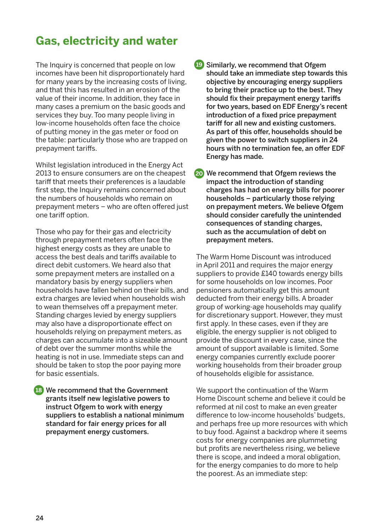### **Gas, electricity and water**

The Inquiry is concerned that people on low incomes have been hit disproportionately hard for many years by the increasing costs of living, and that this has resulted in an erosion of the value of their income. In addition, they face in many cases a premium on the basic goods and services they buy. Too many people living in low-income households often face the choice of putting money in the gas meter or food on the table: particularly those who are trapped on prepayment tariffs.

Whilst legislation introduced in the Energy Act 2013 to ensure consumers are on the cheapest tariff that meets their preferences is a laudable first step, the Inquiry remains concerned about the numbers of households who remain on prepayment meters – who are often offered just one tariff option.

Those who pay for their gas and electricity through prepayment meters often face the highest energy costs as they are unable to access the best deals and tariffs available to direct debit customers. We heard also that some prepayment meters are installed on a mandatory basis by energy suppliers when households have fallen behind on their bills, and extra charges are levied when households wish to wean themselves off a prepayment meter. Standing charges levied by energy suppliers may also have a disproportionate effect on households relying on prepayment meters, as charges can accumulate into a sizeable amount of debt over the summer months while the heating is not in use. Immediate steps can and should be taken to stop the poor paying more for basic essentials.

 We recommend that the Government **18** grants itself new legislative powers to instruct Ofgem to work with energy suppliers to establish a national minimum standard for fair energy prices for all prepayment energy customers.

 Similarly, we recommend that Ofgem **19** should take an immediate step towards this objective by encouraging energy suppliers to bring their practice up to the best. They should fix their prepayment energy tariffs for two years, based on EDF Energy's recent introduction of a fixed price prepayment tariff for all new and existing customers. As part of this offer, households should be given the power to switch suppliers in 24 hours with no termination fee, an offer EDF Energy has made.

 We recommend that Ofgem reviews the **20**impact the introduction of standing charges has had on energy bills for poorer households – particularly those relying on prepayment meters. We believe Ofgem should consider carefully the unintended consequences of standing charges, such as the accumulation of debt on prepayment meters.

The Warm Home Discount was introduced in April 2011 and requires the major energy suppliers to provide £140 towards energy bills for some households on low incomes. Poor pensioners automatically get this amount deducted from their energy bills. A broader group of working-age households may qualify for discretionary support. However, they must first apply. In these cases, even if they are eligible, the energy supplier is not obliged to provide the discount in every case, since the amount of support available is limited. Some energy companies currently exclude poorer working households from their broader group of households eligible for assistance.

We support the continuation of the Warm Home Discount scheme and believe it could be reformed at nil cost to make an even greater difference to low-income households' budgets, and perhaps free up more resources with which to buy food. Against a backdrop where it seems costs for energy companies are plummeting but profits are nevertheless rising, we believe there is scope, and indeed a moral obligation, for the energy companies to do more to help the poorest. As an immediate step: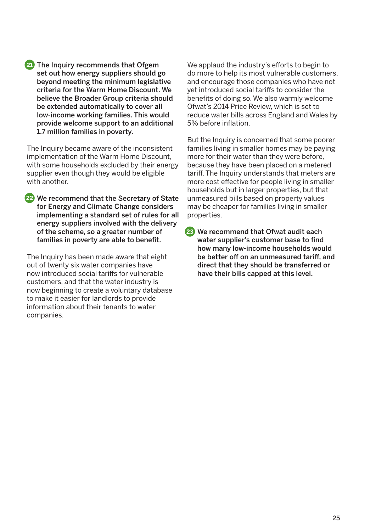21<sup>1</sup> The Inquiry recommends that Ofgem set out how energy suppliers should go beyond meeting the minimum legislative criteria for the Warm Home Discount. We believe the Broader Group criteria should be extended automatically to cover all low-income working families. This would provide welcome support to an additional 1.7 million families in poverty.

The Inquiry became aware of the inconsistent implementation of the Warm Home Discount, with some households excluded by their energy supplier even though they would be eligible with another.

 We recommend that the Secretary of State **22** for Energy and Climate Change considers implementing a standard set of rules for all energy suppliers involved with the delivery of the scheme, so a greater number of families in poverty are able to benefit.

The Inquiry has been made aware that eight out of twenty six water companies have now introduced social tariffs for vulnerable customers, and that the water industry is now beginning to create a voluntary database to make it easier for landlords to provide information about their tenants to water companies.

We applaud the industry's efforts to begin to do more to help its most vulnerable customers, and encourage those companies who have not yet introduced social tariffs to consider the benefits of doing so. We also warmly welcome Ofwat's 2014 Price Review, which is set to reduce water bills across England and Wales by 5% before inflation.

But the Inquiry is concerned that some poorer families living in smaller homes may be paying more for their water than they were before, because they have been placed on a metered tariff. The Inquiry understands that meters are more cost effective for people living in smaller households but in larger properties, but that unmeasured bills based on property values may be cheaper for families living in smaller properties.

 We recommend that Ofwat audit each **23**water supplier's customer base to find how many low-income households would be better off on an unmeasured tariff, and direct that they should be transferred or have their bills capped at this level.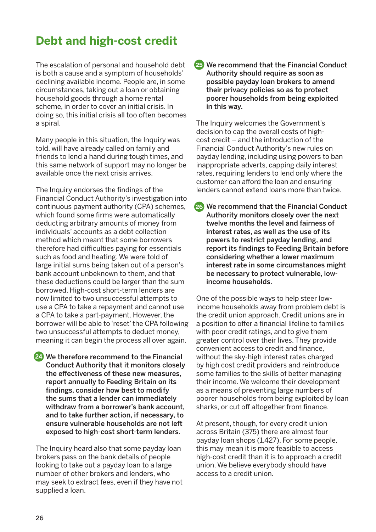### **Debt and high-cost credit**

The escalation of personal and household debt is both a cause and a symptom of households' declining available income. People are, in some circumstances, taking out a loan or obtaining household goods through a home rental scheme, in order to cover an initial crisis. In doing so, this initial crisis all too often becomes a spiral.

Many people in this situation, the Inquiry was told, will have already called on family and friends to lend a hand during tough times, and this same network of support may no longer be available once the next crisis arrives.

The Inquiry endorses the findings of the Financial Conduct Authority's investigation into continuous payment authority (CPA) schemes, which found some firms were automatically deducting arbitrary amounts of money from individuals' accounts as a debt collection method which meant that some borrowers therefore had difficulties paying for essentials such as food and heating. We were told of large initial sums being taken out of a person's bank account unbeknown to them, and that these deductions could be larger than the sum borrowed. High-cost short-term lenders are now limited to two unsuccessful attempts to use a CPA to take a repayment and cannot use a CPA to take a part-payment. However, the borrower will be able to 'reset' the CPA following two unsuccessful attempts to deduct money, meaning it can begin the process all over again.

 We therefore recommend to the Financial **24** Conduct Authority that it monitors closely the effectiveness of these new measures, report annually to Feeding Britain on its findings, consider how best to modify the sums that a lender can immediately withdraw from a borrower's bank account, and to take further action, if necessary, to ensure vulnerable households are not left exposed to high-cost short-term lenders.

The Inquiry heard also that some payday loan brokers pass on the bank details of people looking to take out a payday loan to a large number of other brokers and lenders, who may seek to extract fees, even if they have not supplied a loan.

 We recommend that the Financial Conduct **25** Authority should require as soon as possible payday loan brokers to amend their privacy policies so as to protect poorer households from being exploited in this way.

The Inquiry welcomes the Government's decision to cap the overall costs of highcost credit – and the introduction of the Financial Conduct Authority's new rules on payday lending, including using powers to ban inappropriate adverts, capping daily interest rates, requiring lenders to lend only where the customer can afford the loan and ensuring lenders cannot extend loans more than twice.

26 We recommend that the Financial Conduct Authority monitors closely over the next twelve months the level and fairness of interest rates, as well as the use of its powers to restrict payday lending, and report its findings to Feeding Britain before considering whether a lower maximum interest rate in some circumstances might be necessary to protect vulnerable, lowincome households.

One of the possible ways to help steer lowincome households away from problem debt is the credit union approach. Credit unions are in a position to offer a financial lifeline to families with poor credit ratings, and to give them greater control over their lives. They provide convenient access to credit and finance, without the sky-high interest rates charged by high cost credit providers and reintroduce some families to the skills of better managing their income. We welcome their development as a means of preventing large numbers of poorer households from being exploited by loan sharks, or cut off altogether from finance.

At present, though, for every credit union across Britain (375) there are almost four payday loan shops (1,427). For some people, this may mean it is more feasible to access high-cost credit than it is to approach a credit union. We believe everybody should have access to a credit union.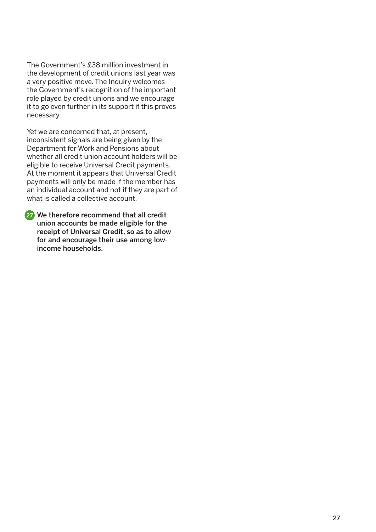The Government's £38 million investment in the development of credit unions last year was a very positive move. The Inquiry welcomes the Government's recognition of the important role played by credit unions and we encourage it to go even further in its support if this proves necessary.

Yet we are concerned that, at present, inconsistent signals are being given by the Department for Work and Pensions about whether all credit union account holders will be eligible to receive Universal Credit payments. At the moment it appears that Universal Credit payments will only be made if the member has an individual account and not if they are part of what is called a collective account.

 We therefore recommend that all credit **27**union accounts be made eligible for the receipt of Universal Credit, so as to allow for and encourage their use among lowincome households.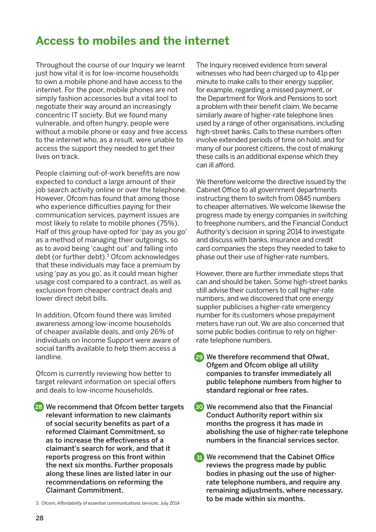### **Access to mobiles and the internet**

Throughout the course of our Inquiry we learnt just how vital it is for low-income households to own a mobile phone and have access to the internet. For the poor, mobile phones are not simply fashion accessories but a vital tool to negotiate their way around an increasingly concentric IT society. But we found many vulnerable, and often hungry, people were without a mobile phone or easy and free access to the internet who, as a result, were unable to access the support they needed to get their lives on track.

People claiming out-of-work benefits are now expected to conduct a large amount of their job search activity online or over the telephone. However, Ofcom has found that among those who experience difficulties paying for their communication services, payment issues are most likely to relate to mobile phones (75%). Half of this group have opted for 'pay as you go' as a method of managing their outgoings, so as to avoid being 'caught out' and falling into debt (or further debt).3 Ofcom acknowledges that these individuals may face a premium by using 'pay as you go', as it could mean higher usage cost compared to a contract, as well as exclusion from cheaper contract deals and lower direct debit bills.

In addition, Ofcom found there was limited awareness among low-income households of cheaper available deals, and only 26% of individuals on Income Support were aware of social tariffs available to help them access a landline.

Ofcom is currently reviewing how better to target relevant information on special offers and deals to low-income households.

We recommend that Ofcom better targets **28** relevant information to new claimants of social security benefits as part of a reformed Claimant Commitment, so as to increase the effectiveness of a claimant's search for work, and that it reports progress on this front within the next six months. Further proposals along these lines are listed later in our recommendations on reforming the Claimant Commitment.

3. Ofcom, *Affordability of essential communications services*, July 2014

The Inquiry received evidence from several witnesses who had been charged up to 41p per minute to make calls to their energy supplier, for example, regarding a missed payment, or the Department for Work and Pensions to sort a problem with their benefit claim. We became similarly aware of higher-rate telephone lines used by a range of other organisations, including high-street banks. Calls to these numbers often involve extended periods of time on hold, and for many of our poorest citizens, the cost of making these calls is an additional expense which they can ill afford.

We therefore welcome the directive issued by the Cabinet Office to all government departments instructing them to switch from 0845 numbers to cheaper alternatives. We welcome likewise the progress made by energy companies in switching to freephone numbers, and the Financial Conduct Authority's decision in spring 2014 to investigate and discuss with banks, insurance and credit card companies the steps they needed to take to phase out their use of higher-rate numbers.

However, there are further immediate steps that can and should be taken. Some high-street banks still advise their customers to call higher-rate numbers, and we discovered that one energy supplier publicises a higher-rate emergency number for its customers whose prepayment meters have run out. We are also concerned that some public bodies continue to rely on higherrate telephone numbers.

- We therefore recommend that Ofwat, **29** Ofgem and Ofcom oblige all utility companies to transfer immediately all public telephone numbers from higher to standard regional or free rates.
- We recommend also that the Financial **30** Conduct Authority report within six months the progress it has made in abolishing the use of higher-rate telephone numbers in the financial services sector.
- We recommend that the Cabinet Office **31** reviews the progress made by public bodies in phasing out the use of higherrate telephone numbers, and require any remaining adjustments, where necessary, to be made within six months.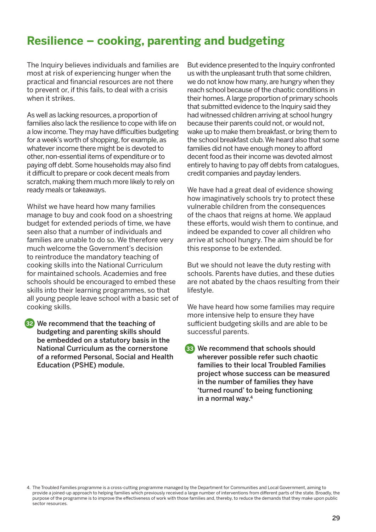### **Resilience – cooking, parenting and budgeting**

The Inquiry believes individuals and families are most at risk of experiencing hunger when the practical and financial resources are not there to prevent or, if this fails, to deal with a crisis when it strikes.

As well as lacking resources, a proportion of families also lack the resilience to cope with life on a low income. They may have difficulties budgeting for a week's worth of shopping, for example, as whatever income there might be is devoted to other, non-essential items of expenditure or to paying off debt. Some households may also find it difficult to prepare or cook decent meals from scratch, making them much more likely to rely on ready meals or takeaways.

Whilst we have heard how many families manage to buy and cook food on a shoestring budget for extended periods of time, we have seen also that a number of individuals and families are unable to do so. We therefore very much welcome the Government's decision to reintroduce the mandatory teaching of cooking skills into the National Curriculum for maintained schools. Academies and free schools should be encouraged to embed these skills into their learning programmes, so that all young people leave school with a basic set of cooking skills.

 We recommend that the teaching of **32** budgeting and parenting skills should be embedded on a statutory basis in the National Curriculum as the cornerstone of a reformed Personal, Social and Health Education (PSHE) module.

But evidence presented to the Inquiry confronted us with the unpleasant truth that some children, we do not know how many, are hungry when they reach school because of the chaotic conditions in their homes. A large proportion of primary schools that submitted evidence to the Inquiry said they had witnessed children arriving at school hungry because their parents could not, or would not, wake up to make them breakfast, or bring them to the school breakfast club. We heard also that some families did not have enough money to afford decent food as their income was devoted almost entirely to having to pay off debts from catalogues, credit companies and payday lenders.

We have had a great deal of evidence showing how imaginatively schools try to protect these vulnerable children from the consequences of the chaos that reigns at home. We applaud these efforts, would wish them to continue, and indeed be expanded to cover all children who arrive at school hungry. The aim should be for this response to be extended.

But we should not leave the duty resting with schools. Parents have duties, and these duties are not abated by the chaos resulting from their lifestyle.

We have heard how some families may require more intensive help to ensure they have sufficient budgeting skills and are able to be successful parents.

 We recommend that schools should **33** wherever possible refer such chaotic families to their local Troubled Families project whose success can be measured in the number of families they have 'turned round' to being functioning in a normal way.4

<sup>4.</sup> The Troubled Families programme is a cross-cutting programme managed by the Department for Communities and Local Government, aiming to provide a joined-up approach to helping families which previously received a large number of interventions from different parts of the state. Broadly, the purpose of the programme is to improve the effectiveness of work with those families and, thereby, to reduce the demands that they make upon public sector resources.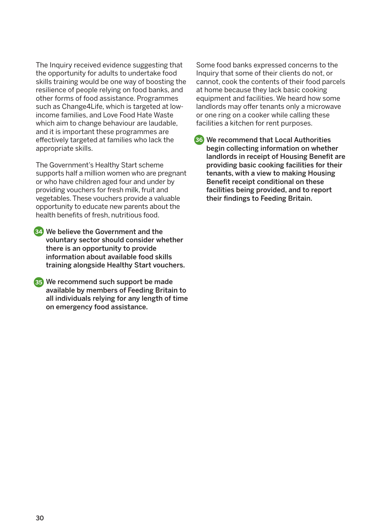The Inquiry received evidence suggesting that the opportunity for adults to undertake food skills training would be one way of boosting the resilience of people relying on food banks, and other forms of food assistance. Programmes such as Change4Life, which is targeted at lowincome families, and Love Food Hate Waste which aim to change behaviour are laudable, and it is important these programmes are effectively targeted at families who lack the appropriate skills.

The Government's Healthy Start scheme supports half a million women who are pregnant or who have children aged four and under by providing vouchers for fresh milk, fruit and vegetables. These vouchers provide a valuable opportunity to educate new parents about the health benefits of fresh, nutritious food.

 We believe the Government and the **34**voluntary sector should consider whether there is an opportunity to provide information about available food skills training alongside Healthy Start vouchers.

 We recommend such support be made **35** available by members of Feeding Britain to all individuals relying for any length of time on emergency food assistance.

Some food banks expressed concerns to the Inquiry that some of their clients do not, or cannot, cook the contents of their food parcels at home because they lack basic cooking equipment and facilities. We heard how some landlords may offer tenants only a microwave or one ring on a cooker while calling these facilities a kitchen for rent purposes.

 We recommend that Local Authorities **36** begin collecting information on whether landlords in receipt of Housing Benefit are providing basic cooking facilities for their tenants, with a view to making Housing Benefit receipt conditional on these facilities being provided, and to report their findings to Feeding Britain.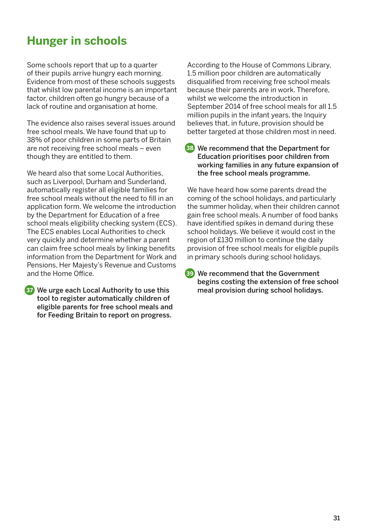### **Hunger in schools**

Some schools report that up to a quarter of their pupils arrive hungry each morning. Evidence from most of these schools suggests that whilst low parental income is an important factor, children often go hungry because of a lack of routine and organisation at home.

The evidence also raises several issues around free school meals. We have found that up to 38% of poor children in some parts of Britain are not receiving free school meals – even though they are entitled to them.

We heard also that some Local Authorities, such as Liverpool, Durham and Sunderland, automatically register all eligible families for free school meals without the need to fill in an application form. We welcome the introduction by the Department for Education of a free school meals eligibility checking system (ECS). The ECS enables Local Authorities to check very quickly and determine whether a parent can claim free school meals by linking benefits information from the Department for Work and Pensions, Her Majesty's Revenue and Customs and the Home Office.

```
37 We urge each Local Authority to use this the meal provision during school holidays.
tool to register automatically children of 
 eligible parents for free school meals and 
for Feeding Britain to report on progress.
```
According to the House of Commons Library, 1.5 million poor children are automatically disqualified from receiving free school meals because their parents are in work. Therefore, whilst we welcome the introduction in September 2014 of free school meals for all 1.5 million pupils in the infant years, the Inquiry believes that, in future, provision should be better targeted at those children most in need.

 We recommend that the Department for **38** Education prioritises poor children from working families in any future expansion of the free school meals programme.

We have heard how some parents dread the coming of the school holidays, and particularly the summer holiday, when their children cannot gain free school meals. A number of food banks have identified spikes in demand during these school holidays. We believe it would cost in the region of £130 million to continue the daily provision of free school meals for eligible pupils in primary schools during school holidays.

 We recommend that the Government **39**begins costing the extension of free school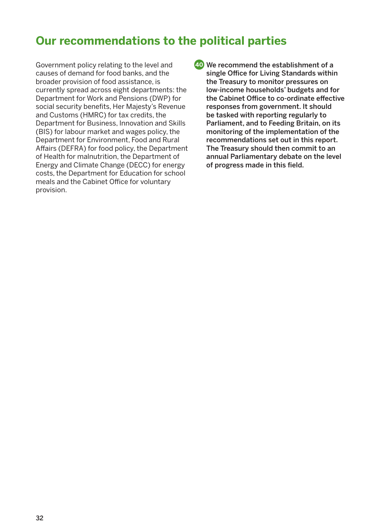### **Our recommendations to the political parties**

Government policy relating to the level and causes of demand for food banks, and the broader provision of food assistance, is currently spread across eight departments: the Department for Work and Pensions (DWP) for social security benefits, Her Majesty's Revenue and Customs (HMRC) for tax credits, the Department for Business, Innovation and Skills (BIS) for labour market and wages policy, the Department for Environment, Food and Rural Affairs (DEFRA) for food policy, the Department of Health for malnutrition, the Department of Energy and Climate Change (DECC) for energy costs, the Department for Education for school meals and the Cabinet Office for voluntary provision.

 We recommend the establishment of a **40**single Office for Living Standards within the Treasury to monitor pressures on low-income households' budgets and for the Cabinet Office to co-ordinate effective responses from government. It should be tasked with reporting regularly to Parliament, and to Feeding Britain, on its monitoring of the implementation of the recommendations set out in this report. The Treasury should then commit to an annual Parliamentary debate on the level of progress made in this field.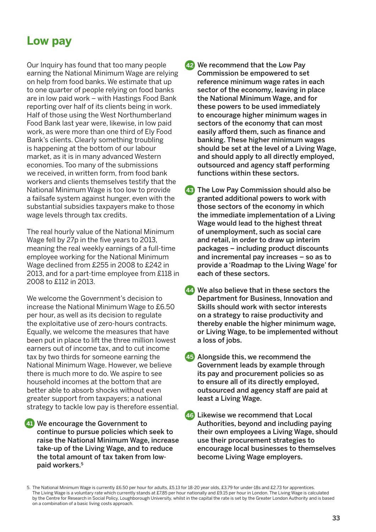### **Low pay**

Our Inquiry has found that too many people earning the National Minimum Wage are relying on help from food banks. We estimate that up to one quarter of people relying on food banks are in low paid work – with Hastings Food Bank reporting over half of its clients being in work. Half of those using the West Northumberland Food Bank last year were, likewise, in low paid work, as were more than one third of Ely Food Bank's clients. Clearly something troubling is happening at the bottom of our labour market, as it is in many advanced Western economies. Too many of the submissions we received, in written form, from food bank workers and clients themselves testify that the National Minimum Wage is too low to provide a failsafe system against hunger, even with the substantial subsidies taxpayers make to those wage levels through tax credits.

The real hourly value of the National Minimum Wage fell by 27p in the five years to 2013, meaning the real weekly earnings of a full-time employee working for the National Minimum Wage declined from £255 in 2008 to £242 in 2013, and for a part-time employee from £118 in 2008 to £112 in 2013.

We welcome the Government's decision to increase the National Minimum Wage to £6.50 per hour, as well as its decision to regulate the exploitative use of zero-hours contracts. Equally, we welcome the measures that have been put in place to lift the three million lowest earners out of income tax, and to cut income tax by two thirds for someone earning the National Minimum Wage. However, we believe there is much more to do. We aspire to see household incomes at the bottom that are better able to absorb shocks without even greater support from taxpayers; a national strategy to tackle low pay is therefore essential.

 We encourage the Government to **41** continue to pursue policies which seek to raise the National Minimum Wage, increase take-up of the Living Wage, and to reduce the total amount of tax taken from lowpaid workers.5

- We recommend that the Low Pay **42** Commission be empowered to set reference minimum wage rates in each sector of the economy, leaving in place the National Minimum Wage, and for these powers to be used immediately to encourage higher minimum wages in sectors of the economy that can most easily afford them, such as finance and banking. These higher minimum wages should be set at the level of a Living Wage, and should apply to all directly employed, outsourced and agency staff performing functions within these sectors.
- 43 The Low Pay Commission should also be granted additional powers to work with those sectors of the economy in which the immediate implementation of a Living Wage would lead to the highest threat of unemployment, such as social care and retail, in order to draw up interim packages – including product discounts and incremental pay increases – so as to provide a 'Roadmap to the Living Wage' for each of these sectors.
- We also believe that in these sectors the **44** Department for Business, Innovation and Skills should work with sector interests on a strategy to raise productivity and thereby enable the higher minimum wage, or Living Wage, to be implemented without a loss of jobs.
- Alongside this, we recommend the **45** Government leads by example through its pay and procurement policies so as to ensure all of its directly employed, outsourced and agency staff are paid at least a Living Wage.

 Likewise we recommend that Local **46** Authorities, beyond and including paying their own employees a Living Wage, should use their procurement strategies to encourage local businesses to themselves become Living Wage employers.

<sup>5.</sup> The National Minimum Wage is currently £6.50 per hour for adults, £5.13 for 18-20 year olds, £3.79 for under-18s and £2.73 for apprentices. The Living Wage is a voluntary rate which currently stands at £7.85 per hour nationally and £9.15 per hour in London. The Living Wage is calculated by the Centre for Research in Social Policy, Loughborough University, whilst in the capital the rate is set by the Greater London Authority and is based on a combination of a basic living costs approach.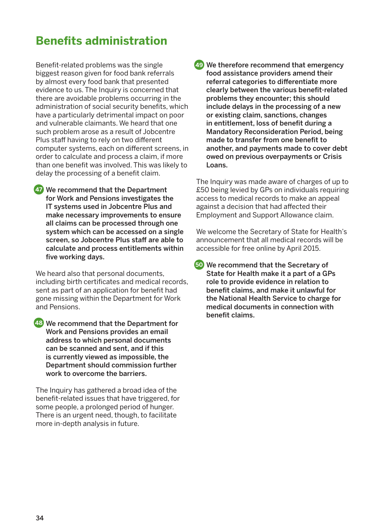### **Benefits administration**

Benefit-related problems was the single biggest reason given for food bank referrals by almost every food bank that presented evidence to us. The Inquiry is concerned that there are avoidable problems occurring in the administration of social security benefits, which have a particularly detrimental impact on poor and vulnerable claimants. We heard that one such problem arose as a result of Jobcentre Plus staff having to rely on two different computer systems, each on different screens, in order to calculate and process a claim, if more than one benefit was involved. This was likely to delay the processing of a benefit claim.

 We recommend that the Department **47** for Work and Pensions investigates the IT systems used in Jobcentre Plus and make necessary improvements to ensure all claims can be processed through one system which can be accessed on a single screen, so Jobcentre Plus staff are able to calculate and process entitlements within five working days.

We heard also that personal documents, including birth certificates and medical records, sent as part of an application for benefit had gone missing within the Department for Work and Pensions.

 We recommend that the Department for **48** Work and Pensions provides an email address to which personal documents can be scanned and sent, and if this is currently viewed as impossible, the Department should commission further work to overcome the barriers.

The Inquiry has gathered a broad idea of the benefit-related issues that have triggered, for some people, a prolonged period of hunger. There is an urgent need, though, to facilitate more in-depth analysis in future.

 We therefore recommend that emergency **49** food assistance providers amend their referral categories to differentiate more clearly between the various benefit-related problems they encounter; this should include delays in the processing of a new or existing claim, sanctions, changes in entitlement, loss of benefit during a Mandatory Reconsideration Period, being made to transfer from one benefit to another, and payments made to cover debt owed on previous overpayments or Crisis Loans.

The Inquiry was made aware of charges of up to £50 being levied by GPs on individuals requiring access to medical records to make an appeal against a decision that had affected their Employment and Support Allowance claim.

We welcome the Secretary of State for Health's announcement that all medical records will be accessible for free online by April 2015.

 We recommend that the Secretary of **50**State for Health make it a part of a GPs role to provide evidence in relation to benefit claims, and make it unlawful for the National Health Service to charge for medical documents in connection with benefit claims.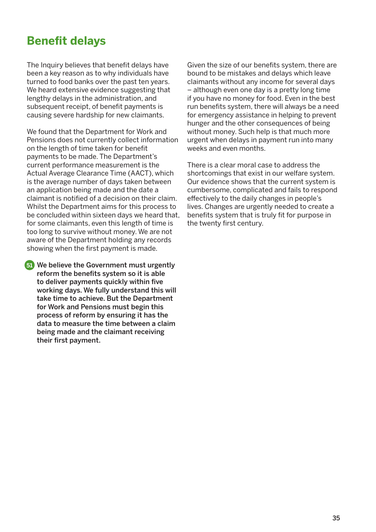### **Benefit delays**

The Inquiry believes that benefit delays have been a key reason as to why individuals have turned to food banks over the past ten years. We heard extensive evidence suggesting that lengthy delays in the administration, and subsequent receipt, of benefit payments is causing severe hardship for new claimants.

We found that the Department for Work and Pensions does not currently collect information on the length of time taken for benefit payments to be made. The Department's current performance measurement is the Actual Average Clearance Time (AACT), which is the average number of days taken between an application being made and the date a claimant is notified of a decision on their claim. Whilst the Department aims for this process to be concluded within sixteen days we heard that, for some claimants, even this length of time is too long to survive without money. We are not aware of the Department holding any records showing when the first payment is made.

 We believe the Government must urgently **51**reform the benefits system so it is able to deliver payments quickly within five working days. We fully understand this will take time to achieve. But the Department for Work and Pensions must begin this process of reform by ensuring it has the data to measure the time between a claim being made and the claimant receiving their first payment.

Given the size of our benefits system, there are bound to be mistakes and delays which leave claimants without any income for several days – although even one day is a pretty long time if you have no money for food. Even in the best run benefits system, there will always be a need for emergency assistance in helping to prevent hunger and the other consequences of being without money. Such help is that much more urgent when delays in payment run into many weeks and even months.

There is a clear moral case to address the shortcomings that exist in our welfare system. Our evidence shows that the current system is cumbersome, complicated and fails to respond effectively to the daily changes in people's lives. Changes are urgently needed to create a benefits system that is truly fit for purpose in the twenty first century.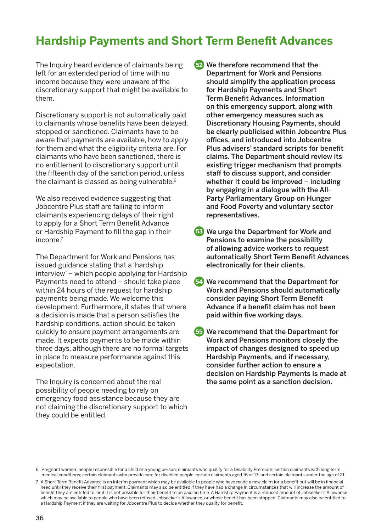### **Hardship Payments and Short Term Benefit Advances**

The Inquiry heard evidence of claimants being left for an extended period of time with no income because they were unaware of the discretionary support that might be available to them.

Discretionary support is not automatically paid to claimants whose benefits have been delayed, stopped or sanctioned. Claimants have to be aware that payments are available, how to apply for them and what the eligibility criteria are. For claimants who have been sanctioned, there is no entitlement to discretionary support until the fifteenth day of the sanction period, unless the claimant is classed as being vulnerable.<sup>6</sup>

We also received evidence suggesting that Jobcentre Plus staff are failing to inform claimants experiencing delays of their right to apply for a Short Term Benefit Advance or Hardship Payment to fill the gap in their  $incom<sub>e</sub>$ 

The Department for Work and Pensions has issued guidance stating that a 'hardship interview' – which people applying for Hardship Payments need to attend – should take place within 24 hours of the request for hardship payments being made. We welcome this development. Furthermore, it states that where a decision is made that a person satisfies the hardship conditions, action should be taken quickly to ensure payment arrangements are made. It expects payments to be made within three days, although there are no formal targets in place to measure performance against this expectation.

The Inquiry is concerned about the real possibility of people needing to rely on emergency food assistance because they are not claiming the discretionary support to which they could be entitled.

**52** We therefore recommend that the Department for Work and Pensions should simplify the application process for Hardship Payments and Short Term Benefit Advances. Information on this emergency support, along with other emergency measures such as Discretionary Housing Payments, should be clearly publicised within Jobcentre Plus offices, and introduced into Jobcentre Plus advisers' standard scripts for benefit claims. The Department should review its existing trigger mechanism that prompts staff to discuss support, and consider whether it could be improved – including by engaging in a dialogue with the All-Party Parliamentary Group on Hunger and Food Poverty and voluntary sector representatives.

- We urge the Department for Work and **53** Pensions to examine the possibility of allowing advice workers to request automatically Short Term Benefit Advances electronically for their clients.
- We recommend that the Department for **54** Work and Pensions should automatically consider paying Short Term Benefit Advance if a benefit claim has not been paid within five working days.

 We recommend that the Department for **55** Work and Pensions monitors closely the impact of changes designed to speed up Hardship Payments, and if necessary, consider further action to ensure a decision on Hardship Payments is made at the same point as a sanction decision.

<sup>6.</sup> Pregnant women; people responsible for a child or a young person; claimants who qualify for a Disability Premium; certain claimants with long term medical conditions; certain claimants who provide care for disabled people; certain claimants aged 16 or 17; and certain claimants under the age of 21.

<sup>7.</sup> A Short Term Benefit Advance is an interim payment which may be available to people who have made a new claim for a benefit but will be in financial need until they receive their first payment. Claimants may also be entitled if they have had a change in circumstances that will increase the amount of benefit they are entitled to, or if it is not possible for their benefit to be paid on time. A Hardship Payment is a reduced amount of Jobseeker's Allowance which may be available to people who have been refused Jobseeker's Allowance, or whose benefit has been stopped. Claimants may also be entitled to a Hardship Payment if they are waiting for Jobcentre Plus to decide whether they qualify for benefit.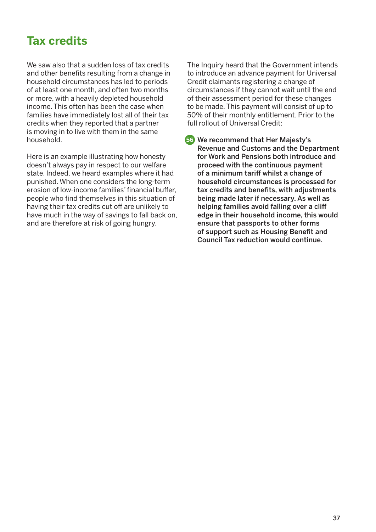### **Tax credits**

We saw also that a sudden loss of tax credits and other benefits resulting from a change in household circumstances has led to periods of at least one month, and often two months or more, with a heavily depleted household income. This often has been the case when families have immediately lost all of their tax credits when they reported that a partner is moving in to live with them in the same household.

Here is an example illustrating how honesty doesn't always pay in respect to our welfare state. Indeed, we heard examples where it had punished. When one considers the long-term erosion of low-income families' financial buffer, people who find themselves in this situation of having their tax credits cut off are unlikely to have much in the way of savings to fall back on, and are therefore at risk of going hungry.

The Inquiry heard that the Government intends to introduce an advance payment for Universal Credit claimants registering a change of circumstances if they cannot wait until the end of their assessment period for these changes to be made. This payment will consist of up to 50% of their monthly entitlement. Prior to the full rollout of Universal Credit:

 We recommend that Her Majesty's **56**Revenue and Customs and the Department for Work and Pensions both introduce and proceed with the continuous payment of a minimum tariff whilst a change of household circumstances is processed for tax credits and benefits, with adjustments being made later if necessary. As well as helping families avoid falling over a cliff edge in their household income, this would ensure that passports to other forms of support such as Housing Benefit and Council Tax reduction would continue.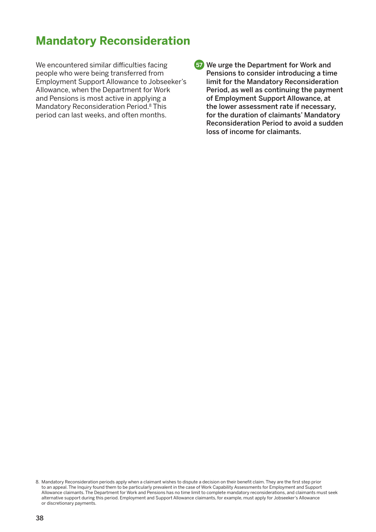### **Mandatory Reconsideration**

We encountered similar difficulties facing people who were being transferred from Employment Support Allowance to Jobseeker's Allowance, when the Department for Work and Pensions is most active in applying a Mandatory Reconsideration Period.8 This period can last weeks, and often months.

 We urge the Department for Work and **57** Pensions to consider introducing a time limit for the Mandatory Reconsideration Period, as well as continuing the payment of Employment Support Allowance, at the lower assessment rate if necessary, for the duration of claimants' Mandatory Reconsideration Period to avoid a sudden loss of income for claimants.

<sup>8.</sup> Mandatory Reconsideration periods apply when a claimant wishes to dispute a decision on their benefit claim. They are the first step prior to an appeal. The Inquiry found them to be particularly prevalent in the case of Work Capability Assessments for Employment and Support Allowance claimants. The Department for Work and Pensions has no time limit to complete mandatory reconsiderations, and claimants must seek alternative support during this period. Employment and Support Allowance claimants, for example, must apply for Jobseeker's Allowance or discretionary payments.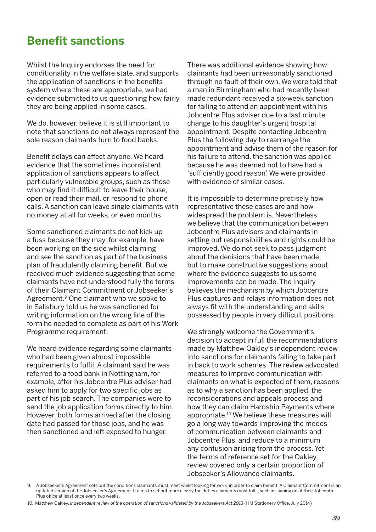### **Benefit sanctions**

Whilst the Inquiry endorses the need for conditionality in the welfare state, and supports the application of sanctions in the benefits system where these are appropriate, we had evidence submitted to us questioning how fairly they are being applied in some cases.

We do, however, believe it is still important to note that sanctions do not always represent the sole reason claimants turn to food banks.

Benefit delays can affect anyone. We heard evidence that the sometimes inconsistent application of sanctions appears to affect particularly vulnerable groups, such as those who may find it difficult to leave their house, open or read their mail, or respond to phone calls. A sanction can leave single claimants with no money at all for weeks, or even months.

Some sanctioned claimants do not kick up a fuss because they may, for example, have been working on the side whilst claiming and see the sanction as part of the business plan of fraudulently claiming benefit. But we received much evidence suggesting that some claimants have not understood fully the terms of their Claimant Commitment or Jobseeker's Agreement.<sup>9</sup> One claimant who we spoke to in Salisbury told us he was sanctioned for writing information on the wrong line of the form he needed to complete as part of his Work Programme requirement.

We heard evidence regarding some claimants who had been given almost impossible requirements to fulfil. A claimant said he was referred to a food bank in Nottingham, for example, after his Jobcentre Plus adviser had asked him to apply for two specific jobs as part of his job search. The companies were to send the job application forms directly to him. However, both forms arrived after the closing date had passed for those jobs, and he was then sanctioned and left exposed to hunger.

There was additional evidence showing how claimants had been unreasonably sanctioned through no fault of their own. We were told that a man in Birmingham who had recently been made redundant received a six-week sanction for failing to attend an appointment with his Jobcentre Plus adviser due to a last minute change to his daughter's urgent hospital appointment. Despite contacting Jobcentre Plus the following day to rearrange the appointment and advise them of the reason for his failure to attend, the sanction was applied because he was deemed not to have had a 'sufficiently good reason'. We were provided with evidence of similar cases.

It is impossible to determine precisely how representative these cases are and how widespread the problem is. Nevertheless, we believe that the communication between Jobcentre Plus advisers and claimants in setting out responsibilities and rights could be improved. We do not seek to pass judgment about the decisions that have been made; but to make constructive suggestions about where the evidence suggests to us some improvements can be made. The Inquiry believes the mechanism by which Jobcentre Plus captures and relays information does not always fit with the understanding and skills possessed by people in very difficult positions.

We strongly welcome the Government's decision to accept in full the recommendations made by Matthew Oakley's independent review into sanctions for claimants failing to take part in back to work schemes. The review advocated measures to improve communication with claimants on what is expected of them, reasons as to why a sanction has been applied, the reconsiderations and appeals process and how they can claim Hardship Payments where appropriate.10 We believe these measures will go a long way towards improving the modes of communication between claimants and Jobcentre Plus, and reduce to a minimum any confusion arising from the process. Yet the terms of reference set for the Oakley review covered only a certain proportion of Jobseeker's Allowance claimants.

<sup>9.</sup> A Jobseeker's Agreement sets out the conditions claimants must meet whilst looking for work, in order to claim benefit. A Claimant Commitment is an updated version of the Jobseeker's Agreement. It aims to set out more clearly the duties claimants must fulfil, such as signing on at their Jobcentre Plus office at least once every two weeks.

<sup>10.</sup> Matthew Oakley, *Independent review of the operation of sanctions validated by the Jobseekers Act 2013* (HM Stationery Office, July 2014)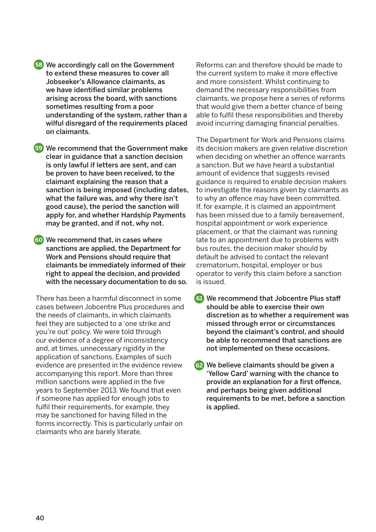- We accordingly call on the Government **58** to extend these measures to cover all Jobseeker's Allowance claimants, as we have identified similar problems arising across the board, with sanctions sometimes resulting from a poor understanding of the system, rather than a wilful disregard of the requirements placed on claimants.
- We recommend that the Government make **59** clear in guidance that a sanction decision is only lawful if letters are sent, and can be proven to have been received, to the claimant explaining the reason that a sanction is being imposed (including dates, what the failure was, and why there isn't good cause), the period the sanction will apply for, and whether Hardship Payments may be granted, and if not, why not.
- We recommend that, in cases where **60** sanctions are applied, the Department for Work and Pensions should require that claimants be immediately informed of their right to appeal the decision, and provided with the necessary documentation to do so.

There has been a harmful disconnect in some cases between Jobcentre Plus procedures and the needs of claimants, in which claimants feel they are subjected to a 'one strike and you're out' policy. We were told through our evidence of a degree of inconsistency and, at times, unnecessary rigidity in the application of sanctions. Examples of such evidence are presented in the evidence review accompanying this report. More than three million sanctions were applied in the five years to September 2013. We found that even if someone has applied for enough jobs to fulfil their requirements, for example, they may be sanctioned for having filled in the forms incorrectly. This is particularly unfair on claimants who are barely literate.

Reforms can and therefore should be made to the current system to make it more effective and more consistent. Whilst continuing to demand the necessary responsibilities from claimants, we propose here a series of reforms that would give them a better chance of being able to fulfil these responsibilities and thereby avoid incurring damaging financial penalties.

The Department for Work and Pensions claims its decision makers are given relative discretion when deciding on whether an offence warrants a sanction. But we have heard a substantial amount of evidence that suggests revised guidance is required to enable decision makers to investigate the reasons given by claimants as to why an offence may have been committed. If, for example, it is claimed an appointment has been missed due to a family bereavement, hospital appointment or work experience placement, or that the claimant was running late to an appointment due to problems with bus routes, the decision maker should by default be advised to contact the relevant crematorium, hospital, employer or bus operator to verify this claim before a sanction is issued.

- We recommend that Jobcentre Plus staff **61** should be able to exercise their own discretion as to whether a requirement was missed through error or circumstances beyond the claimant's control, and should be able to recommend that sanctions are not implemented on these occasions.
- We believe claimants should be given a **62**'Yellow Card' warning with the chance to provide an explanation for a first offence, and perhaps being given additional requirements to be met, before a sanction is applied.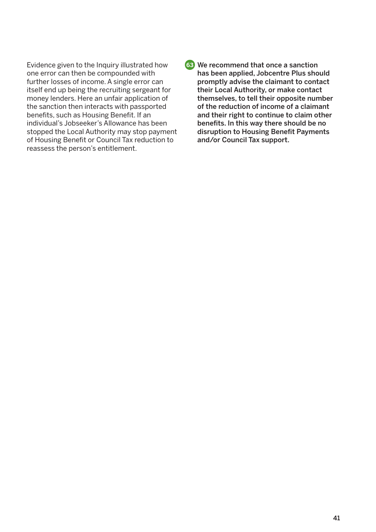Evidence given to the Inquiry illustrated how one error can then be compounded with further losses of income. A single error can itself end up being the recruiting sergeant for money lenders. Here an unfair application of the sanction then interacts with passported benefits, such as Housing Benefit. If an individual's Jobseeker's Allowance has been stopped the Local Authority may stop payment of Housing Benefit or Council Tax reduction to reassess the person's entitlement.

 We recommend that once a sanction **63**has been applied, Jobcentre Plus should promptly advise the claimant to contact their Local Authority, or make contact themselves, to tell their opposite number of the reduction of income of a claimant and their right to continue to claim other benefits. In this way there should be no disruption to Housing Benefit Payments and/or Council Tax support.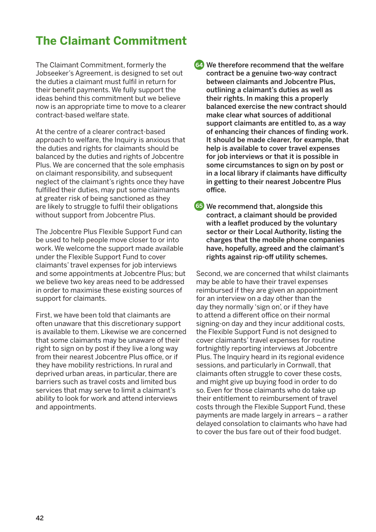### **The Claimant Commitment**

The Claimant Commitment, formerly the Jobseeker's Agreement, is designed to set out the duties a claimant must fulfil in return for their benefit payments. We fully support the ideas behind this commitment but we believe now is an appropriate time to move to a clearer contract-based welfare state.

At the centre of a clearer contract-based approach to welfare, the Inquiry is anxious that the duties and rights for claimants should be balanced by the duties and rights of Jobcentre Plus. We are concerned that the sole emphasis on claimant responsibility, and subsequent neglect of the claimant's rights once they have fulfilled their duties, may put some claimants at greater risk of being sanctioned as they are likely to struggle to fulfil their obligations without support from Jobcentre Plus.

The Jobcentre Plus Flexible Support Fund can be used to help people move closer to or into work. We welcome the support made available under the Flexible Support Fund to cover claimants' travel expenses for job interviews and some appointments at Jobcentre Plus; but we believe two key areas need to be addressed in order to maximise these existing sources of support for claimants.

First, we have been told that claimants are often unaware that this discretionary support is available to them. Likewise we are concerned that some claimants may be unaware of their right to sign on by post if they live a long way from their nearest Jobcentre Plus office, or if they have mobility restrictions. In rural and deprived urban areas, in particular, there are barriers such as travel costs and limited bus services that may serve to limit a claimant's ability to look for work and attend interviews and appointments.

 We therefore recommend that the welfare **64** contract be a genuine two-way contract between claimants and Jobcentre Plus, outlining a claimant's duties as well as their rights. In making this a properly balanced exercise the new contract should make clear what sources of additional support claimants are entitled to, as a way of enhancing their chances of finding work. It should be made clearer, for example, that help is available to cover travel expenses for job interviews or that it is possible in some circumstances to sign on by post or in a local library if claimants have difficulty in getting to their nearest Jobcentre Plus office.

 We recommend that, alongside this **65**contract, a claimant should be provided with a leaflet produced by the voluntary sector or their Local Authority, listing the charges that the mobile phone companies have, hopefully, agreed and the claimant's rights against rip-off utility schemes.

Second, we are concerned that whilst claimants may be able to have their travel expenses reimbursed if they are given an appointment for an interview on a day other than the day they normally 'sign on', or if they have to attend a different office on their normal signing-on day and they incur additional costs, the Flexible Support Fund is not designed to cover claimants' travel expenses for routine fortnightly reporting interviews at Jobcentre Plus. The Inquiry heard in its regional evidence sessions, and particularly in Cornwall, that claimants often struggle to cover these costs, and might give up buying food in order to do so. Even for those claimants who do take up their entitlement to reimbursement of travel costs through the Flexible Support Fund, these payments are made largely in arrears – a rather delayed consolation to claimants who have had to cover the bus fare out of their food budget.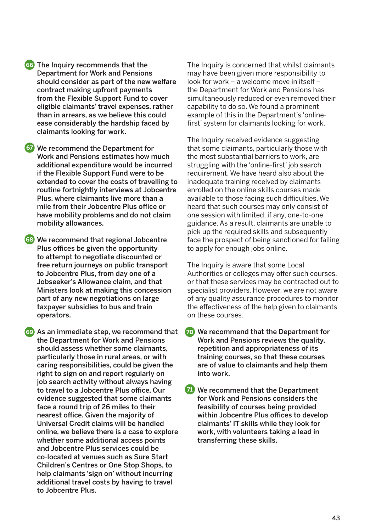- The Inquiry recommends that the **66** Department for Work and Pensions should consider as part of the new welfare contract making upfront payments from the Flexible Support Fund to cover eligible claimants' travel expenses, rather than in arrears, as we believe this could ease considerably the hardship faced by claimants looking for work.
- We recommend the Department for **67** Work and Pensions estimates how much additional expenditure would be incurred if the Flexible Support Fund were to be extended to cover the costs of travelling to routine fortnightly interviews at Jobcentre Plus, where claimants live more than a mile from their Jobcentre Plus office or have mobility problems and do not claim mobility allowances.
- We recommend that regional Jobcentre **68** Plus offices be given the opportunity to attempt to negotiate discounted or free return journeys on public transport to Jobcentre Plus, from day one of a Jobseeker's Allowance claim, and that Ministers look at making this concession part of any new negotiations on large taxpayer subsidies to bus and train operators.
- As an immediate step, we recommend that **69 70** the Department for Work and Pensions should assess whether some claimants, particularly those in rural areas, or with caring responsibilities, could be given the right to sign on and report regularly on job search activity without always having to travel to a Jobcentre Plus office. Our evidence suggested that some claimants face a round trip of 26 miles to their nearest office. Given the majority of Universal Credit claims will be handled online, we believe there is a case to explore whether some additional access points and Jobcentre Plus services could be co-located at venues such as Sure Start Children's Centres or One Stop Shops, to help claimants 'sign on' without incurring additional travel costs by having to travel to Jobcentre Plus.

The Inquiry is concerned that whilst claimants may have been given more responsibility to look for work – a welcome move in itself – the Department for Work and Pensions has simultaneously reduced or even removed their capability to do so. We found a prominent example of this in the Department's 'onlinefirst' system for claimants looking for work.

The Inquiry received evidence suggesting that some claimants, particularly those with the most substantial barriers to work, are struggling with the 'online-first' job search requirement. We have heard also about the inadequate training received by claimants enrolled on the online skills courses made available to those facing such difficulties. We heard that such courses may only consist of one session with limited, if any, one-to-one guidance. As a result, claimants are unable to pick up the required skills and subsequently face the prospect of being sanctioned for failing to apply for enough jobs online.

The Inquiry is aware that some Local Authorities or colleges may offer such courses, or that these services may be contracted out to specialist providers. However, we are not aware of any quality assurance procedures to monitor the effectiveness of the help given to claimants on these courses.

**TO** We recommend that the Department for Work and Pensions reviews the quality, repetition and appropriateness of its training courses, so that these courses are of value to claimants and help them into work.

*T* We recommend that the Department for Work and Pensions considers the feasibility of courses being provided within Jobcentre Plus offices to develop claimants' IT skills while they look for work, with volunteers taking a lead in transferring these skills.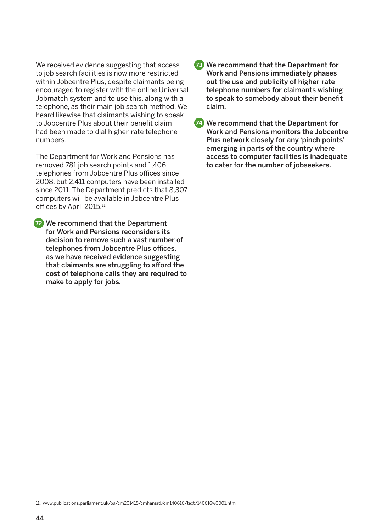We received evidence suggesting that access to job search facilities is now more restricted within Jobcentre Plus, despite claimants being encouraged to register with the online Universal Jobmatch system and to use this, along with a telephone, as their main job search method. We heard likewise that claimants wishing to speak to Jobcentre Plus about their benefit claim had been made to dial higher-rate telephone numbers.

The Department for Work and Pensions has removed 781 job search points and 1,406 telephones from Jobcentre Plus offices since 2008, but 2,411 computers have been installed since 2011. The Department predicts that 8,307 computers will be available in Jobcentre Plus offices by April 2015.<sup>11</sup>

**72** We recommend that the Department for Work and Pensions reconsiders its decision to remove such a vast number of telephones from Jobcentre Plus offices, as we have received evidence suggesting that claimants are struggling to afford the cost of telephone calls they are required to make to apply for jobs.

- **73** We recommend that the Department for Work and Pensions immediately phases out the use and publicity of higher-rate telephone numbers for claimants wishing to speak to somebody about their benefit claim.
- We recommend that the Department for **74** Work and Pensions monitors the Jobcentre Plus network closely for any 'pinch points' emerging in parts of the country where access to computer facilities is inadequate to cater for the number of jobseekers.

11. www.publications.parliament.uk/pa/cm201415/cmhansrd/cm140616/text/140616w0001.htm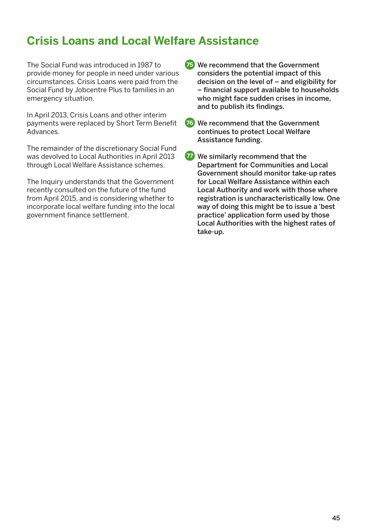### **Crisis Loans and Local Welfare Assistance**

The Social Fund was introduced in 1987 to provide money for people in need under various circumstances. Crisis Loans were paid from the Social Fund by Jobcentre Plus to families in an emergency situation.

In April 2013, Crisis Loans and other interim payments were replaced by Short Term Benefit Advances.

The remainder of the discretionary Social Fund was devolved to Local Authorities in April 2013 through Local Welfare Assistance schemes.

The Inquiry understands that the Government recently consulted on the future of the fund from April 2015, and is considering whether to incorporate local welfare funding into the local government finance settlement.

- **75** We recommend that the Government considers the potential impact of this decision on the level of – and eligibility for – financial support available to households who might face sudden crises in income, and to publish its findings.
- **76** We recommend that the Government continues to protect Local Welfare Assistance funding.
- *T* We similarly recommend that the Department for Communities and Local Government should monitor take-up rates for Local Welfare Assistance within each Local Authority and work with those where registration is uncharacteristically low. One way of doing this might be to issue a 'best practice' application form used by those Local Authorities with the highest rates of take-up.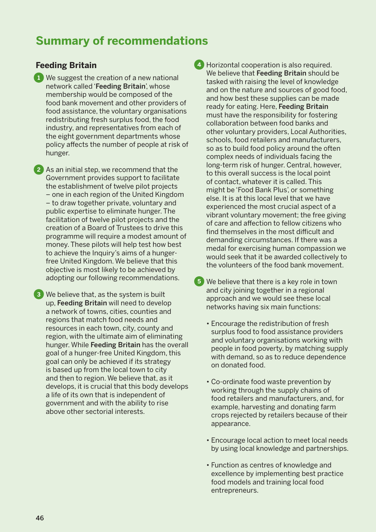### **Summary of recommendations**

### **Feeding Britain**

 We suggest the creation of a new national **1** network called 'Feeding Britain', whose membership would be composed of the food bank movement and other providers of food assistance, the voluntary organisations redistributing fresh surplus food, the food industry, and representatives from each of the eight government departments whose policy affects the number of people at risk of hunger.

2 As an initial step, we recommend that the Government provides support to facilitate the establishment of twelve pilot projects – one in each region of the United Kingdom – to draw together private, voluntary and public expertise to eliminate hunger. The facilitation of twelve pilot projects and the creation of a Board of Trustees to drive this programme will require a modest amount of money. These pilots will help test how best to achieve the Inquiry's aims of a hungerfree United Kingdom. We believe that this objective is most likely to be achieved by adopting our following recommendations.

 We believe that, as the system is built **3** up, Feeding Britain will need to develop a network of towns, cities, counties and regions that match food needs and resources in each town, city, county and region, with the ultimate aim of eliminating hunger. While Feeding Britain has the overall goal of a hunger-free United Kingdom, this goal can only be achieved if its strategy is based up from the local town to city and then to region. We believe that, as it develops, it is crucial that this body develops a life of its own that is independent of government and with the ability to rise above other sectorial interests.

 Horizontal cooperation is also required. **4** We believe that Feeding Britain should be tasked with raising the level of knowledge and on the nature and sources of good food, and how best these supplies can be made ready for eating. Here, Feeding Britain must have the responsibility for fostering collaboration between food banks and other voluntary providers, Local Authorities, schools, food retailers and manufacturers, so as to build food policy around the often complex needs of individuals facing the long-term risk of hunger. Central, however, to this overall success is the local point of contact, whatever it is called. This might be 'Food Bank Plus', or something else. It is at this local level that we have experienced the most crucial aspect of a vibrant voluntary movement; the free giving of care and affection to fellow citizens who find themselves in the most difficult and demanding circumstances. If there was a medal for exercising human compassion we would seek that it be awarded collectively to the volunteers of the food bank movement.

- We believe that there is a key role in town **5**and city joining together in a regional approach and we would see these local networks having six main functions:
	- Encourage the redistribution of fresh surplus food to food assistance providers and voluntary organisations working with people in food poverty, by matching supply with demand, so as to reduce dependence on donated food.
	- Co-ordinate food waste prevention by working through the supply chains of food retailers and manufacturers, and, for example, harvesting and donating farm crops rejected by retailers because of their appearance.
	- Encourage local action to meet local needs by using local knowledge and partnerships.
	- Function as centres of knowledge and excellence by implementing best practice food models and training local food entrepreneurs.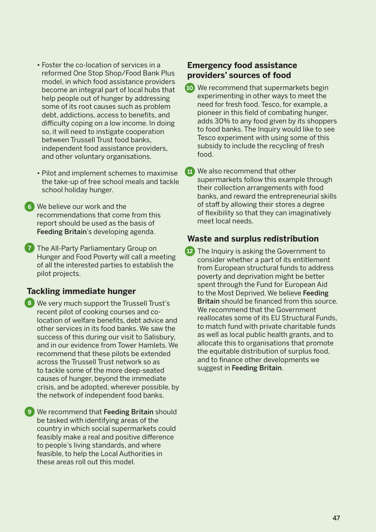- Foster the co-location of services in a reformed One Stop Shop/Food Bank Plus model, in which food assistance providers become an integral part of local hubs that help people out of hunger by addressing some of its root causes such as problem debt, addictions, access to benefits, and difficulty coping on a low income. In doing so, it will need to instigate cooperation between Trussell Trust food banks, independent food assistance providers, and other voluntary organisations.
- Pilot and implement schemes to maximise the take-up of free school meals and tackle school holiday hunger.

 We believe our work and the **6** recommendations that come from this report should be used as the basis of Feeding Britain's developing agenda.

**7** The All-Party Parliamentary Group on Hunger and Food Poverty will call a meeting of all the interested parties to establish the pilot projects.

#### **Tackling immediate hunger**

- We very much support the Trussell Trust's **8** recent pilot of cooking courses and colocation of welfare benefits, debt advice and other services in its food banks. We saw the success of this during our visit to Salisbury, and in our evidence from Tower Hamlets. We recommend that these pilots be extended across the Trussell Trust network so as to tackle some of the more deep-seated causes of hunger, beyond the immediate crisis, and be adopted, wherever possible, by the network of independent food banks.
- **9** We recommend that Feeding Britain should be tasked with identifying areas of the country in which social supermarkets could feasibly make a real and positive difference to people's living standards, and where feasible, to help the Local Authorities in these areas roll out this model.

#### **Emergency food assistance providers' sources of food**

- We recommend that supermarkets begin **10** experimenting in other ways to meet the need for fresh food. Tesco, for example, a pioneer in this field of combating hunger, adds 30% to any food given by its shoppers to food banks. The Inquiry would like to see Tesco experiment with using some of this subsidy to include the recycling of fresh food.
- **11** We also recommend that other supermarkets follow this example through their collection arrangements with food banks, and reward the entrepreneurial skills of staff by allowing their stores a degree of flexibility so that they can imaginatively meet local needs.

#### **Waste and surplus redistribution**

**12** The Inquiry is asking the Government to consider whether a part of its entitlement from European structural funds to address poverty and deprivation might be better spent through the Fund for European Aid to the Most Deprived. We believe Feeding Britain should be financed from this source. We recommend that the Government reallocates some of its EU Structural Funds, to match fund with private charitable funds as well as local public health grants, and to allocate this to organisations that promote the equitable distribution of surplus food, and to finance other developments we suggest in Feeding Britain.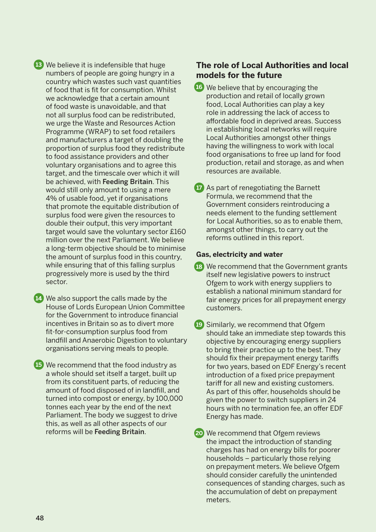We believe it is indefensible that huge **13** numbers of people are going hungry in a country which wastes such vast quantities of food that is fit for consumption. Whilst we acknowledge that a certain amount of food waste is unavoidable, and that not all surplus food can be redistributed, we urge the Waste and Resources Action Programme (WRAP) to set food retailers and manufacturers a target of doubling the proportion of surplus food they redistribute to food assistance providers and other voluntary organisations and to agree this target, and the timescale over which it will be achieved, with Feeding Britain. This would still only amount to using a mere 4% of usable food, yet if organisations that promote the equitable distribution of surplus food were given the resources to double their output, this very important target would save the voluntary sector £160 million over the next Parliament. We believe a long-term objective should be to minimise the amount of surplus food in this country, while ensuring that of this falling surplus progressively more is used by the third sector.

14. We also support the calls made by the House of Lords European Union Committee for the Government to introduce financial incentives in Britain so as to divert more fit-for-consumption surplus food from landfill and Anaerobic Digestion to voluntary organisations serving meals to people.

 We recommend that the food industry as **15** a whole should set itself a target, built up from its constituent parts, of reducing the amount of food disposed of in landfill, and turned into compost or energy, by 100,000 tonnes each year by the end of the next Parliament. The body we suggest to drive this, as well as all other aspects of our reforms will be Feeding Britain.

#### **The role of Local Authorities and local models for the future**

- We believe that by encouraging the **16** production and retail of locally grown food, Local Authorities can play a key role in addressing the lack of access to affordable food in deprived areas. Success in establishing local networks will require Local Authorities amongst other things having the willingness to work with local food organisations to free up land for food production, retail and storage, as and when resources are available.
- As part of renegotiating the Barnett **17** Formula, we recommend that the Government considers reintroducing a needs element to the funding settlement for Local Authorities, so as to enable them, amongst other things, to carry out the reforms outlined in this report.

#### **Gas, electricity and water**

- We recommend that the Government grants **18** itself new legislative powers to instruct Ofgem to work with energy suppliers to establish a national minimum standard for fair energy prices for all prepayment energy customers.
- Similarly, we recommend that Ofgem **19** should take an immediate step towards this objective by encouraging energy suppliers to bring their practice up to the best. They should fix their prepayment energy tariffs for two years, based on EDF Energy's recent introduction of a fixed price prepayment tariff for all new and existing customers. As part of this offer, households should be given the power to switch suppliers in 24 hours with no termination fee, an offer EDF Energy has made.

 We recommend that Ofgem reviews **20**the impact the introduction of standing charges has had on energy bills for poorer households – particularly those relying on prepayment meters. We believe Ofgem should consider carefully the unintended consequences of standing charges, such as the accumulation of debt on prepayment meters.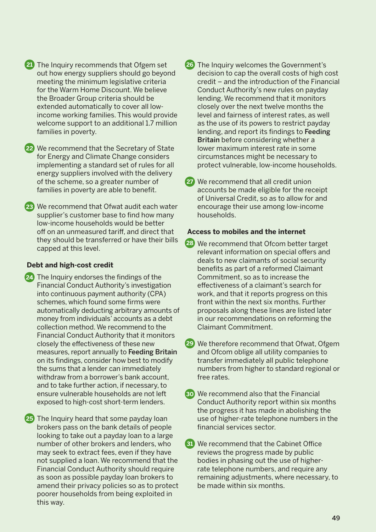The Inquiry recommends that Ofgem set **21 26** out how energy suppliers should go beyond meeting the minimum legislative criteria for the Warm Home Discount. We believe the Broader Group criteria should be extended automatically to cover all lowincome working families. This would provide welcome support to an additional 1.7 million families in poverty.

 We recommend that the Secretary of State **22** for Energy and Climate Change considers implementing a standard set of rules for all energy suppliers involved with the delivery of the scheme, so a greater number of families in poverty are able to benefit.

 We recommend that Ofwat audit each water **23** supplier's customer base to find how many low-income households would be better off on an unmeasured tariff, and direct that they should be transferred or have their bills capped at this level.

#### **Debt and high-cost credit**

 The Inquiry endorses the findings of the **24** Financial Conduct Authority's investigation into continuous payment authority (CPA) schemes, which found some firms were automatically deducting arbitrary amounts of money from individuals' accounts as a debt collection method. We recommend to the Financial Conduct Authority that it monitors closely the effectiveness of these new measures, report annually to Feeding Britain on its findings, consider how best to modify the sums that a lender can immediately withdraw from a borrower's bank account, and to take further action, if necessary, to ensure vulnerable households are not left exposed to high-cost short-term lenders.

25 The Inquiry heard that some payday loan brokers pass on the bank details of people looking to take out a payday loan to a large number of other brokers and lenders, who may seek to extract fees, even if they have not supplied a loan. We recommend that the Financial Conduct Authority should require as soon as possible payday loan brokers to amend their privacy policies so as to protect poorer households from being exploited in this way.

26 The Inquiry welcomes the Government's decision to cap the overall costs of high cost credit – and the introduction of the Financial Conduct Authority's new rules on payday lending. We recommend that it monitors closely over the next twelve months the level and fairness of interest rates, as well as the use of its powers to restrict payday lending, and report its findings to Feeding Britain before considering whether a lower maximum interest rate in some circumstances might be necessary to protect vulnerable, low-income households.

 We recommend that all credit union **27** accounts be made eligible for the receipt of Universal Credit, so as to allow for and encourage their use among low-income households.

#### **Access to mobiles and the internet**

- We recommend that Ofcom better target **28** relevant information on special offers and deals to new claimants of social security benefits as part of a reformed Claimant Commitment, so as to increase the effectiveness of a claimant's search for work, and that it reports progress on this front within the next six months. Further proposals along these lines are listed later in our recommendations on reforming the Claimant Commitment.
- We therefore recommend that Ofwat, Ofgem **29** and Ofcom oblige all utility companies to transfer immediately all public telephone numbers from higher to standard regional or free rates.
- We recommend also that the Financial **30** Conduct Authority report within six months the progress it has made in abolishing the use of higher-rate telephone numbers in the financial services sector.
- We recommend that the Cabinet Office **31**reviews the progress made by public bodies in phasing out the use of higherrate telephone numbers, and require any remaining adjustments, where necessary, to be made within six months.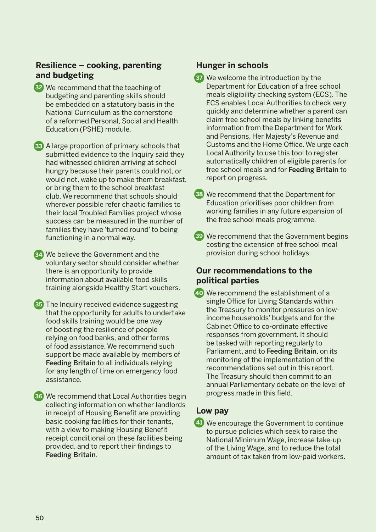#### **Resilience – cooking, parenting and budgeting**

- We recommend that the teaching of **32** budgeting and parenting skills should be embedded on a statutory basis in the National Curriculum as the cornerstone of a reformed Personal, Social and Health Education (PSHE) module.
- A large proportion of primary schools that **33** submitted evidence to the Inquiry said they had witnessed children arriving at school hungry because their parents could not, or would not, wake up to make them breakfast, or bring them to the school breakfast club. We recommend that schools should wherever possible refer chaotic families to their local Troubled Families project whose success can be measured in the number of families they have 'turned round' to being functioning in a normal way.
- We believe the Government and the **34** voluntary sector should consider whether there is an opportunity to provide information about available food skills training alongside Healthy Start vouchers.
- The Inquiry received evidence suggesting **35** that the opportunity for adults to undertake food skills training would be one way of boosting the resilience of people relying on food banks, and other forms of food assistance. We recommend such support be made available by members of Feeding Britain to all individuals relying for any length of time on emergency food assistance.
- We recommend that Local Authorities begin **36** collecting information on whether landlords in receipt of Housing Benefit are providing basic cooking facilities for their tenants, with a view to making Housing Benefit receipt conditional on these facilities being provided, and to report their findings to Feeding Britain.

#### **Hunger in schools**

- We welcome the introduction by the **37** Department for Education of a free school meals eligibility checking system (ECS). The ECS enables Local Authorities to check very quickly and determine whether a parent can claim free school meals by linking benefits information from the Department for Work and Pensions, Her Majesty's Revenue and Customs and the Home Office. We urge each Local Authority to use this tool to register automatically children of eligible parents for free school meals and for Feeding Britain to report on progress.
- We recommend that the Department for **38** Education prioritises poor children from working families in any future expansion of the free school meals programme.
- We recommend that the Government begins **39** costing the extension of free school meal provision during school holidays.

#### **Our recommendations to the political parties**

 We recommend the establishment of a **40** single Office for Living Standards within the Treasury to monitor pressures on lowincome households' budgets and for the Cabinet Office to co-ordinate effective responses from government. It should be tasked with reporting regularly to Parliament, and to Feeding Britain, on its monitoring of the implementation of the recommendations set out in this report. The Treasury should then commit to an annual Parliamentary debate on the level of progress made in this field.

#### **Low pay**

 We encourage the Government to continue **41**to pursue policies which seek to raise the National Minimum Wage, increase take-up of the Living Wage, and to reduce the total amount of tax taken from low-paid workers.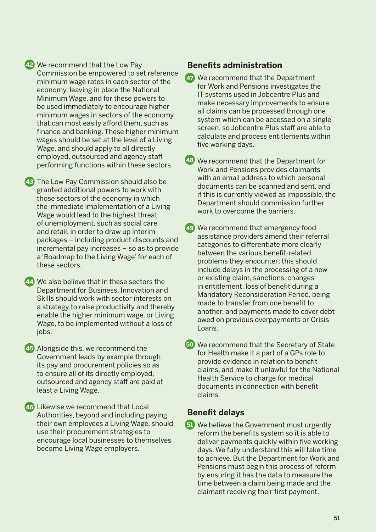#### We recommend that the Low Pay **42** Commission be empowered to set reference minimum wage rates in each sector of the economy, leaving in place the National Minimum Wage, and for these powers to be used immediately to encourage higher minimum wages in sectors of the economy that can most easily afford them, such as finance and banking. These higher minimum wages should be set at the level of a Living Wage, and should apply to all directly employed, outsourced and agency staff performing functions within these sectors.

 The Low Pay Commission should also be **43** granted additional powers to work with those sectors of the economy in which the immediate implementation of a Living Wage would lead to the highest threat of unemployment, such as social care and retail, in order to draw up interim packages – including product discounts and incremental pay increases – so as to provide a 'Roadmap to the Living Wage' for each of these sectors.

 We also believe that in these sectors the **44** Department for Business, Innovation and Skills should work with sector interests on a strategy to raise productivity and thereby enable the higher minimum wage, or Living Wage, to be implemented without a loss of jobs.

45 Alongside this, we recommend the Government leads by example through its pay and procurement policies so as to ensure all of its directly employed, outsourced and agency staff are paid at least a Living Wage.

 Likewise we recommend that Local **46** Authorities, beyond and including paying their own employees a Living Wage, should use their procurement strategies to encourage local businesses to themselves become Living Wage employers.

#### **Benefits administration**

- We recommend that the Department **47** for Work and Pensions investigates the IT systems used in Jobcentre Plus and make necessary improvements to ensure all claims can be processed through one system which can be accessed on a single screen, so Jobcentre Plus staff are able to calculate and process entitlements within five working days.
- We recommend that the Department for **48** Work and Pensions provides claimants with an email address to which personal documents can be scanned and sent, and if this is currently viewed as impossible, the Department should commission further work to overcome the barriers.
- We recommend that emergency food **49** assistance providers amend their referral categories to differentiate more clearly between the various benefit-related problems they encounter; this should include delays in the processing of a new or existing claim, sanctions, changes in entitlement, loss of benefit during a Mandatory Reconsideration Period, being made to transfer from one benefit to another, and payments made to cover debt owed on previous overpayments or Crisis Loans.
- We recommend that the Secretary of State **50** for Health make it a part of a GPs role to provide evidence in relation to benefit claims, and make it unlawful for the National Health Service to charge for medical documents in connection with benefit claims.

#### **Benefit delays**

 We believe the Government must urgently **51**reform the benefits system so it is able to deliver payments quickly within five working days. We fully understand this will take time to achieve. But the Department for Work and Pensions must begin this process of reform by ensuring it has the data to measure the time between a claim being made and the claimant receiving their first payment.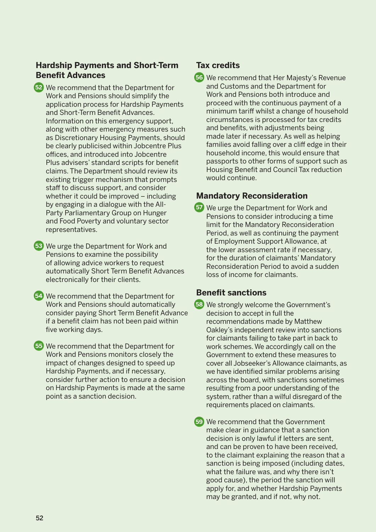#### **Hardship Payments and Short-Term Benefit Advances**

- We recommend that the Department for **52** Work and Pensions should simplify the application process for Hardship Payments and Short-Term Benefit Advances. Information on this emergency support, along with other emergency measures such as Discretionary Housing Payments, should be clearly publicised within Jobcentre Plus offices, and introduced into Jobcentre Plus advisers' standard scripts for benefit claims. The Department should review its existing trigger mechanism that prompts staff to discuss support, and consider whether it could be improved – including by engaging in a dialogue with the All-Party Parliamentary Group on Hunger and Food Poverty and voluntary sector representatives.
- We urge the Department for Work and **53** Pensions to examine the possibility of allowing advice workers to request automatically Short Term Benefit Advances electronically for their clients.
- We recommend that the Department for **54** Work and Pensions should automatically consider paying Short Term Benefit Advance if a benefit claim has not been paid within five working days.
- We recommend that the Department for **55** Work and Pensions monitors closely the impact of changes designed to speed up Hardship Payments, and if necessary, consider further action to ensure a decision on Hardship Payments is made at the same point as a sanction decision.

### **Tax credits**

 We recommend that Her Majesty's Revenue **56** and Customs and the Department for Work and Pensions both introduce and proceed with the continuous payment of a minimum tariff whilst a change of household circumstances is processed for tax credits and benefits, with adjustments being made later if necessary. As well as helping families avoid falling over a cliff edge in their household income, this would ensure that passports to other forms of support such as Housing Benefit and Council Tax reduction would continue.

### **Mandatory Reconsideration**

 We urge the Department for Work and **57** Pensions to consider introducing a time limit for the Mandatory Reconsideration Period, as well as continuing the payment of Employment Support Allowance, at the lower assessment rate if necessary, for the duration of claimants' Mandatory Reconsideration Period to avoid a sudden loss of income for claimants.

### **Benefit sanctions**

 We strongly welcome the Government's **58** decision to accept in full the recommendations made by Matthew Oakley's independent review into sanctions for claimants failing to take part in back to work schemes. We accordingly call on the Government to extend these measures to cover all Jobseeker's Allowance claimants, as we have identified similar problems arising across the board, with sanctions sometimes resulting from a poor understanding of the system, rather than a wilful disregard of the requirements placed on claimants.

 We recommend that the Government **59**make clear in guidance that a sanction decision is only lawful if letters are sent, and can be proven to have been received, to the claimant explaining the reason that a sanction is being imposed (including dates, what the failure was, and why there isn't good cause), the period the sanction will apply for, and whether Hardship Payments may be granted, and if not, why not.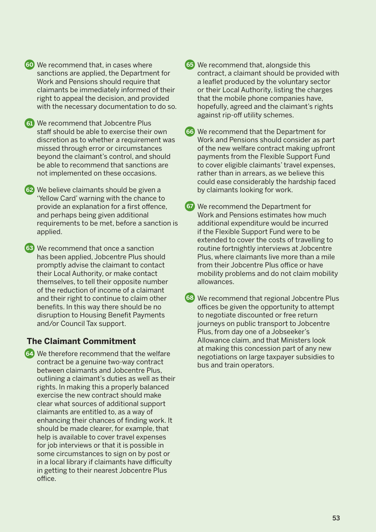- We recommend that, in cases where **60 65** sanctions are applied, the Department for Work and Pensions should require that claimants be immediately informed of their right to appeal the decision, and provided with the necessary documentation to do so.
- We recommend that Jobcentre Plus **61** staff should be able to exercise their own discretion as to whether a requirement was missed through error or circumstances beyond the claimant's control, and should be able to recommend that sanctions are not implemented on these occasions.

 We believe claimants should be given a **62** 'Yellow Card' warning with the chance to provide an explanation for a first offence, and perhaps being given additional requirements to be met, before a sanction is applied.

 We recommend that once a sanction **63** has been applied, Jobcentre Plus should promptly advise the claimant to contact their Local Authority, or make contact themselves, to tell their opposite number of the reduction of income of a claimant and their right to continue to claim other benefits. In this way there should be no disruption to Housing Benefit Payments and/or Council Tax support.

### **The Claimant Commitment**

 We therefore recommend that the welfare **64** contract be a genuine two-way contract between claimants and Jobcentre Plus, outlining a claimant's duties as well as their rights. In making this a properly balanced exercise the new contract should make clear what sources of additional support claimants are entitled to, as a way of enhancing their chances of finding work. It should be made clearer, for example, that help is available to cover travel expenses for job interviews or that it is possible in some circumstances to sign on by post or in a local library if claimants have difficulty in getting to their nearest Jobcentre Plus office.

- 65 We recommend that, alongside this contract, a claimant should be provided with a leaflet produced by the voluntary sector or their Local Authority, listing the charges that the mobile phone companies have, hopefully, agreed and the claimant's rights against rip-off utility schemes.
- We recommend that the Department for **66** Work and Pensions should consider as part of the new welfare contract making upfront payments from the Flexible Support Fund to cover eligible claimants' travel expenses, rather than in arrears, as we believe this could ease considerably the hardship faced by claimants looking for work.
- We recommend the Department for **67** Work and Pensions estimates how much additional expenditure would be incurred if the Flexible Support Fund were to be extended to cover the costs of travelling to routine fortnightly interviews at Jobcentre Plus, where claimants live more than a mile from their Jobcentre Plus office or have mobility problems and do not claim mobility allowances.
- We recommend that regional Jobcentre Plus **68**offices be given the opportunity to attempt to negotiate discounted or free return journeys on public transport to Jobcentre Plus, from day one of a Jobseeker's Allowance claim, and that Ministers look at making this concession part of any new negotiations on large taxpayer subsidies to bus and train operators.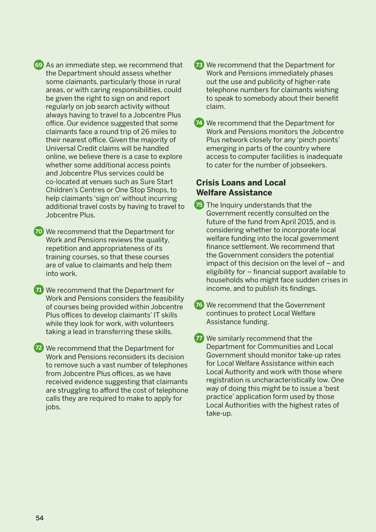As an immediate step, we recommend that **69 73** the Department should assess whether some claimants, particularly those in rural areas, or with caring responsibilities, could be given the right to sign on and report regularly on job search activity without always having to travel to a Jobcentre Plus office. Our evidence suggested that some claimants face a round trip of 26 miles to their nearest office. Given the majority of Universal Credit claims will be handled online, we believe there is a case to explore whether some additional access points and Jobcentre Plus services could be co-located at venues such as Sure Start Children's Centres or One Stop Shops, to help claimants 'sign on' without incurring additional travel costs by having to travel to Jobcentre Plus.

 We recommend that the Department for **70** Work and Pensions reviews the quality, repetition and appropriateness of its training courses, so that these courses are of value to claimants and help them into work.

 We recommend that the Department for **71** Work and Pensions considers the feasibility of courses being provided within Jobcentre Plus offices to develop claimants' IT skills while they look for work, with volunteers taking a lead in transferring these skills.

 We recommend that the Department for **72** Work and Pensions reconsiders its decision to remove such a vast number of telephones from Jobcentre Plus offices, as we have received evidence suggesting that claimants are struggling to afford the cost of telephone calls they are required to make to apply for jobs.

- **E** We recommend that the Department for Work and Pensions immediately phases out the use and publicity of higher-rate telephone numbers for claimants wishing to speak to somebody about their benefit claim.
- We recommend that the Department for **74** Work and Pensions monitors the Jobcentre Plus network closely for any 'pinch points' emerging in parts of the country where access to computer facilities is inadequate to cater for the number of jobseekers.

### **Crisis Loans and Local Welfare Assistance**

- **75** The Inquiry understands that the Government recently consulted on the future of the fund from April 2015, and is considering whether to incorporate local welfare funding into the local government finance settlement. We recommend that the Government considers the potential impact of this decision on the level of – and eligibility for – financial support available to households who might face sudden crises in income, and to publish its findings.
- **76** We recommend that the Government continues to protect Local Welfare Assistance funding.
- **77** We similarly recommend that the Department for Communities and Local Government should monitor take-up rates for Local Welfare Assistance within each Local Authority and work with those where registration is uncharacteristically low. One way of doing this might be to issue a 'best practice' application form used by those Local Authorities with the highest rates of take-up.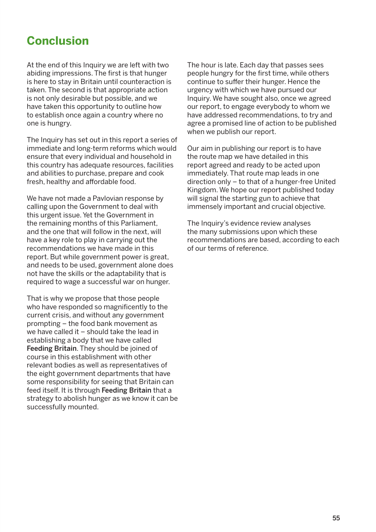### **Conclusion**

At the end of this Inquiry we are left with two abiding impressions. The first is that hunger is here to stay in Britain until counteraction is taken. The second is that appropriate action is not only desirable but possible, and we have taken this opportunity to outline how to establish once again a country where no one is hungry.

The Inquiry has set out in this report a series of immediate and long-term reforms which would ensure that every individual and household in this country has adequate resources, facilities and abilities to purchase, prepare and cook fresh, healthy and affordable food.

We have not made a Pavlovian response by calling upon the Government to deal with this urgent issue. Yet the Government in the remaining months of this Parliament, and the one that will follow in the next, will have a key role to play in carrying out the recommendations we have made in this report. But while government power is great, and needs to be used, government alone does not have the skills or the adaptability that is required to wage a successful war on hunger.

That is why we propose that those people who have responded so magnificently to the current crisis, and without any government prompting – the food bank movement as we have called it – should take the lead in establishing a body that we have called Feeding Britain. They should be joined of course in this establishment with other relevant bodies as well as representatives of the eight government departments that have some responsibility for seeing that Britain can feed itself. It is through Feeding Britain that a strategy to abolish hunger as we know it can be successfully mounted.

The hour is late. Each day that passes sees people hungry for the first time, while others continue to suffer their hunger. Hence the urgency with which we have pursued our Inquiry. We have sought also, once we agreed our report, to engage everybody to whom we have addressed recommendations, to try and agree a promised line of action to be published when we publish our report.

Our aim in publishing our report is to have the route map we have detailed in this report agreed and ready to be acted upon immediately. That route map leads in one direction only – to that of a hunger-free United Kingdom. We hope our report published today will signal the starting gun to achieve that immensely important and crucial objective.

The Inquiry's evidence review analyses the many submissions upon which these recommendations are based, according to each of our terms of reference.